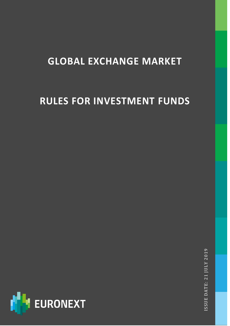# **GLOBAL EXCHANGE MARKET**

# **RULES FOR INVESTMENT FUNDS**



ISSUE DATE: 21 JULY 201 ISSUE DATE: 21 JULY 2019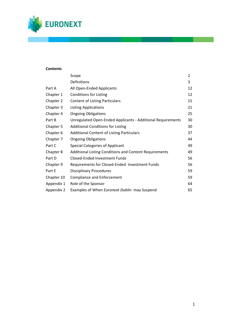

## **Contents**

|            | Scope                                                       | 2  |
|------------|-------------------------------------------------------------|----|
|            | Definitions                                                 | 3  |
| Part A     | All Open-Ended Applicants                                   | 12 |
| Chapter 1  | <b>Conditions for Listing</b>                               | 12 |
| Chapter 2  | <b>Content of Listing Particulars</b>                       | 15 |
| Chapter 3  | <b>Listing Applications</b>                                 | 21 |
| Chapter 4  | <b>Ongoing Obligations</b>                                  | 25 |
| Part B     | Unregulated Open-Ended Applicants - Additional Requirements | 30 |
| Chapter 5  | <b>Additional Conditions for Listing</b>                    | 30 |
| Chapter 6  | <b>Additional Content of Listing Particulars</b>            | 37 |
| Chapter 7  | <b>Ongoing Obligations</b>                                  | 44 |
| Part C     | <b>Special Categories of Applicant</b>                      | 49 |
| Chapter 8  | Additional Listing Conditions and Content Requirements      | 49 |
| Part D     | Closed-Ended Investment Funds                               | 56 |
| Chapter 9  | Requirements for Closed-Ended Investment Funds              | 56 |
| Part E     | <b>Disciplinary Procedures</b>                              | 59 |
| Chapter 10 | <b>Compliance and Enforcement</b>                           | 59 |
| Appendix 1 | Role of the Sponsor                                         | 64 |
| Appendix 2 | Examples of When Euronext Dublin may Suspend                | 65 |

н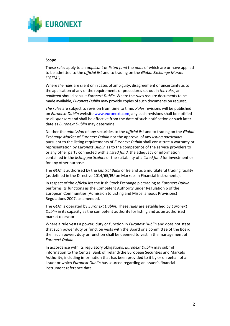

#### **Scope**

These *rules* apply to an *applicant* or *listed fund* the *units* of which are or have applied to be admitted to the *official list* and to trading on the *Global Exchange Market ("GEM")*.

Where *the rules* are silent or in cases of ambiguity, disagreement or uncertainty as to the application of any of the requirements or procedures set out in *the rules*, an *applicant* should consult *Euronext Dublin*. Where the *rules* require documents to be made available, *Euronext Dublin* may provide copies of such documents on request.

*The rules* are subject to revision from time to time. *Rules* revisions will be published on *Euronext Dublin* website [www.euronext.com,](http://www.euronext.com/) any such revisions shall be notified to all *sponsors* and shall be effective from the date of such notification or such later date as *Euronext Dublin* may determine.

Neither the *admission* of any securities to the *official list* and to trading on the *Global Exchange Market* of *Euronext Dublin* nor the approval of any *listing particulars* pursuant to the listing requirements of *Euronext Dublin* shall constitute a warranty or representation by *Euronext Dublin* as to the competence of the service providers to or any other party connected with a *listed fund,* the adequacy of information contained in the *listing particulars* or the suitability of a *listed fund* for investment or for any other purpose.

The *GEM* is authorised by the *Central Bank* of Ireland as a multilateral trading facility (as defined in the Directive 2014/65/EU on Markets in Financial Instruments).

In respect of the *official list* the Irish Stock Exchange plc trading as *Euronext Dublin* performs its functions as the Competent Authority under Regulation 6 of the European Communities (Admission to Listing and Miscellaneous Provisions) Regulations 2007, as amended.

The *GEM* is operated by *Euronext Dublin*. These *rules* are established by *Euronext Dublin* in its capacity as the competent authority for listing and as an authorised market operator.

Where a rule vests a power, duty or function in *Euronext Dublin* and does not state that such power duty or function vests with the Board or a committee of the Board, then such power, duty or function shall be deemed to vest in the management of *Euronext Dublin*.

In accordance with its regulatory obligations, *Euronext Dublin* may submit information to the Central Bank of Ireland/the European Securities and Markets Authority, including information that has been provided to it by or on behalf of an issuer or which *Euronext Dublin* has sourced regarding an issuer's financial instrument reference data.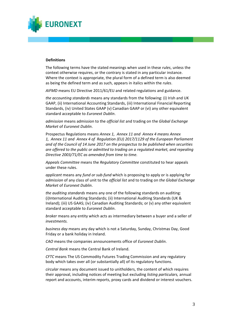

#### **Definitions**

The following terms have the stated meanings when used in these *rules*, unless the context otherwise requires, or the contrary is stated in any particular instance. Where the context is appropriate, the plural form of a defined term is also deemed as being the defined term and as such, appears in italics within the *rules*.

*AIFMD* means EU Directive 2011/61/EU and related regulations and guidance.

*the accounting standards* means any standards from the following: (i) Irish and UK GAAP, (ii) International Accounting Standards, (iii) International Financial Reporting Standards, (iv) United States GAAP (v) Canadian GAAP or (vi) any other equivalent standard acceptable to *Euronext Dublin*.

*admission* means admission to the *official list* and trading on the *Global Exchange Market* of *Euronext Dublin*.

Prospectus Regulations means *Annex 1, Annex 11 and Annex 4 means Annex 1, Annex 11 and Annex 4 of Regulation (EU) 2017/1129 of the European Parliament and of the Council of 14 June 2017 on the prospectus to be published when securities are offered to the public or admitted to trading on a regulated market, and repealing Directive 2003/71/EC as amended from time to time.*

*Appeals Committee* means the *Regulatory Committee* constituted to hear appeals under these rules.

*applicant* means any *fund or sub-fund* which is proposing to apply or is applying for *admission* of any class of unit to the *official list* and to trading on *the Global Exchange Market* of *Euronext Dublin*.

*the auditing standards* means any one of the following standards on auditing: (i)International Auditing Standards; (ii) International Auditing Standards (UK & Ireland); (iii) US GAAS; (iv) Canadian Auditing Standards; or (v) any other equivalent standard acceptable to *Euronext Dublin*.

*broker* means any entity which acts as intermediary between a buyer and a seller of *investments.*

*business day* means any day which is not a Saturday, Sunday, Christmas Day, Good Friday or a bank holiday in Ireland.

*CAO* means the companies announcements office of *Euronext Dublin*.

*Central Bank* means the Central Bank of Ireland.

*CFTC* means The US Commodity Futures Trading Commission and any regulatory body which takes over all (or substantially all) of its regulatory functions.

*circular* means any document issued to unitholders, the content of which requires their approval, including notices of meeting but excluding *listing particulars,* annual report and accounts, interim reports, proxy cards and dividend or interest vouchers.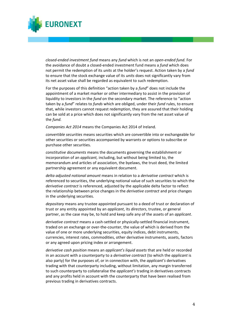

*closed-ended investment fund* means any *fund* which is not an *open-ended fund.* For the avoidance of doubt a closed-ended investment fund means a *fund* which does not permit the redemption of its *units* at the holder's request. Action taken by a *fund*  to ensure that the stock exchange value of its *units* does not significantly vary from its net asset value shall be regarded as equivalent to such redemption.

For the purposes of this definition "action taken by a *fund*" does not include the appointment of a market marker or other intermediary to assist in the provision of liquidity to investors in the *fund* on the secondary market. The reference to "action taken by a *fund*" relates to *funds* which are obliged, under their *fund* rules, to ensure that, while investors cannot request redemption, they are assured that their holding can be sold at a price which does not significantly vary from the net asset value of the *fund.*

*Companies Act 2014* means the Companies Act 2014 of Ireland*.*

*convertible securities* means securities which are convertible into or exchangeable for other securities or securities accompanied by warrants or options to subscribe or purchase other securities.

*constitutive documents* means the documents governing the establishment or incorporation of an *applicant,* including, but without being limited to, the memorandum and articles of association, the byelaws, the trust deed, the limited partnership agreement or any equivalent document.

*delta adjusted notional amount* means in relation to a *derivative contract* which is referenced to securities, the underlying notional value of such securities to which the *derivative contract* is referenced, adjusted by the applicable delta factor to reflect the relationship between price changes in the *derivative contract* and price changes in the underlying securities.

*depositary* means any trustee appointed pursuant to a deed of trust or declaration of trust or any entity appointed by an *applicant*, its *directors*, trustee, or general partner, as the case may be, to hold and keep safe any of the assets of an *applicant*.

*derivative contract* means a cash-settled or physically-settled financial instrument, traded on an exchange or over-the-counter, the value of which is derived from the value of one or more underlying securities, equity indices, debt instruments, currencies, interest rates, commodities, other derivative instruments, assets, factors or any agreed upon pricing index or arrangement.

*derivative cash position* means an *applicant's liquid assets* that are held or recorded in an account with a counterparty to a *derivative contract* (to which the *applicant* is also party) for the purposes of, or in connection with, the *applicant's* derivatives trading with that counterparty including, without limitation, any margin transferred to such counterparty to collateralise the *applicant's* trading in derivatives contracts and any profits held in account with the counterparty that have been realised from previous trading in derivatives contracts.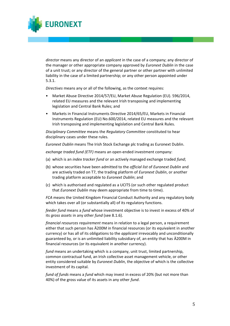*director* means any director of an *applicant* in the case of a company; any director of the manager or other appropriate company approved by *Euronext Dublin* in the case of a unit trust; or any director of the general partner or other partner with unlimited liability in the case of a limited partnership; or any other person appointed under 5.3.1.

*Directives* means any or all of the following, as the context requires:

**URONEXT** 

- Market Abuse Directive 2014/57/EU, Market Abuse Regulation (EU). 596/2014, related EU measures and the relevant Irish transposing and implementing legislation and Central Bank Rules; and
- Markets in Financial Instruments Directive 2014/65/EU, Markets in Financial Instruments Regulation (EU) No.600/2014, related EU measures and the relevant Irish transposing and implementing legislation and Central Bank Rules.

*Disciplinary Committee* means the *Regulatory Committee* constituted to hear disciplinary cases under these rules*.*

*Euronext Dublin* means The Irish Stock Exchange plc trading as Euronext Dublin.

*exchange traded fund (ETF)* means an open-ended investment company:

- (a) which is an *index tracker fund* or an actively managed exchange traded *fund*;
- (b) whose securities have been admitted to the *official list* of *Euronext Dublin* and are actively traded on T7, the trading platform of *Euronext Dublin*, or another trading platform acceptable to *Euronext Dublin*; and
- (c) which is authorised and regulated as a UCITS (or such other regulated product that *Euronext Dublin* may deem appropriate from time to time).

*FCA* means the United Kingdom Financial Conduct Authority and any regulatory body which takes over all (or substantially all) of its regulatory functions.

*feeder fund* means a *fund* whose investment objective is to invest in excess of 40% of its *gross assets* in any other *fund* (see 8.1.6).

*financial resources requirement* means in relation to a legal person, a requirement either that such person has Ä200M in financial resources (or its equivalent in another currency) or has all of its obligations to the *applicant* irrevocably and unconditionally guaranteed by, or is an unlimited liability subsidiary of, an entity that has Ä200M in financial resources (or its equivalent in another currency).

*fund* means an undertaking which is a company, unit trust, limited partnership, common contractual fund, an Irish collective asset management vehicle, or other entity considered suitable by *Euronext Dublin*, the objective of which is the collective investment of its capital.

*fund of funds* means a *fund* which may invest in excess of 20% (but not more than 40%) of the gross value of its assets in any other *fund*.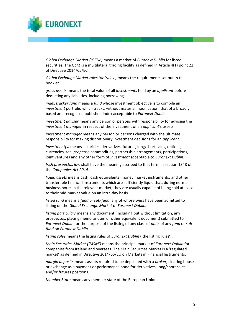

*Global Exchange Market ('GEM')* means a market of *Euronext Dublin* for listed securities. The *GEM* is a multilateral trading facility as defined in Article 4(1) point 22 of Directive 2014/65/EC.

*Global Exchange Market rules (or 'rules')* means the requirements set out in this booklet.

*gross assets* means the total value of all *investments* held by an *applicant* before deducting any liabilities, including borrowings.

*index tracker fund* means a *fund* whose investment objective is to compile an *investment* portfolio which tracks, without material modification, that of a broadly based and recognised published index acceptable to *Euronext Dublin*.

*investment adviser* means any person or persons with responsibility for advising the *investment manager* in respect of the investment of an *applicant's* assets.

*investment manager* means any person or persons charged with the ultimate responsibility for making discretionary investment decisions for an *applicant*.

*investment(s)* means securities, derivatives, futures, long/short sales, options, currencies, real *property*, commodities, partnership arrangements, participations, joint ventures and any other form of *investment* acceptable to *Euronext Dublin*.

*Irish prospectus law* shall have the meaning ascribed to that term in section 1348 of the *Companies Act 2014*.

*liquid assets* means cash; cash equivalents; money market instruments; and other transferable financial instruments which are sufficiently liquid that, during normal business hours in the relevant market, they are usually capable of being sold at close to their mid-market value on an intra-day basis.

*listed fund* means a *fund or sub-fund*, any of whose *units* have been admitted to listing on the *Global Exchange Market* of *Euronext Dublin.*

*listing particulars* means any document (including but without limitation, any prospectus, placing memorandum or other equivalent document) submitted to *Euronext Dublin* for the purpose of the listing of any class of *units* of any *fund* or *subfund* on *Euronext Dublin*.

*listing rules* means the listing rules of *Euronext Dublin* ('the listing rules').

*Main Securities Market ('MSM')* means the principal market of *Euronext Dublin* for companies from Ireland and overseas. The Main Securities Market is a 'regulated market' as defined in Directive 2014/65/EU on Markets in Financial Instruments.

*margin deposits* means assets required to be deposited with a *broker*, clearing house or exchange as a payment or performance bond for derivatives, long/short sales and/or futures positions.

*Member State* means any member state of the European Union.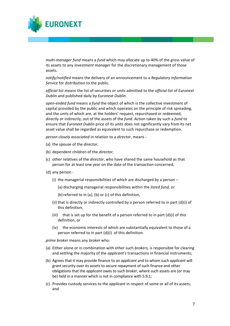

*multi-manager fund* means a *fund* which may allocate up to 40% of the gross value of its assets to any *investment manager* for the discretionary management of those assets.

*notify/notified* means the delivery of an announcement to a *Regulatory Information Service* for distribution to the public.

*official list* means the list of securities or *units* admitted to the *official list* of *Euronext Dublin* and published daily by *Euronext Dublin*.

*open-ended fund* means a *fund* the object of which is the collective investment of capital provided by the public and which operates on the principle of risk spreading, and the *units* of which are, at the holders' request, repurchased or redeemed, directly or indirectly, out of the assets of the *fund*. Action taken by such a *fund* to ensure that *Euronext Dublin* price of its *units* does not significantly vary from its net asset value shall be regarded as equivalent to such repurchase or redemption.

*person closely associated* in relation to a *director*, means -

- (a) the spouse of the *director*,
- (b) dependent children of the *director*,
- (c) other relatives of the *director*, who have shared the same household as that person for at least one year on the date of the transaction concerned,
- (d) any person
	- (i) the managerial responsibilities of which are discharged by a person
		- (a) discharging managerial responsibilities within the *listed fund,* or
		- (b) referred to in (a), (b) or (c) of this definition,
	- (ii) that is directly or indirectly controlled by a person referred to in part (d)(i) of this definition,
	- (iii) that is set up for the benefit of a person referred to in part  $(d)(i)$  of this definition, or
	- (iv) the economic interests of which are substantially equivalent to those of a person referred to in part (d)(i) of this definition.

*prime broker* means any *broker* who:

- (a) Either alone or in combination with other such *brokers*, is responsible for clearing and settling the majority of the *applicant's* transactions in financial instruments;
- (b) Agrees that it may provide finance to an *applicant* and to whom such *applicant* will grant security over its assets to secure repayment of such finance and other obligations that the *applicant* owes to such *broker*, where such assets are (or may be) held in a manner which is not in compliance with 5.9.1;
- (c) Provides custody services to the *applicant* in respect of some or all of its assets; and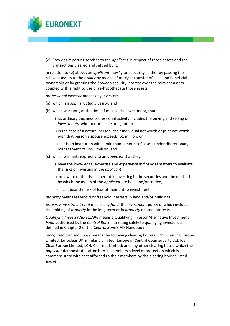

(d) Provides reporting services to the *applicant* in respect of those assets and the transactions cleared and settled by it.

In relation to (b) above, an *applicant* may "grant security" either by passing the relevant assets to the *broker* by means of outright transfer of legal and beneficial ownership or by granting the *broker* a security interest over the relevant assets coupled with a right to use or re-hypothecate those assets.

*professional investor* means any investor:

- (a) which is a *sophisticated investor;* and
- (b) which warrants, at the time of making the investment, that;
	- (i) its ordinary business professional activity includes the buying and selling of *investments*, whether principle or agent; or
	- (ii) in the case of a natural person, their individual net worth or joint net worth with that person's spouse exceeds \$1 million; or
	- (iii) it is an institution with a minimum amount of assets under discretionary management of US\$5 million; and
- (c) which warrants expressly to an *applicant* that they:
	- (i) have the knowledge, expertise and experience in financial matters to evaluate the risks of investing in the *applicant*;
	- (ii) are aware of the risks inherent in investing in the securities and the method by which the assets of the *applicant* are held and/or traded;
	- (iii) can bear the risk of loss of their entire investment.

*property* means leasehold or freehold interests in land and/or buildings.

*property investment fund* means any *fund*, the *investment* policy of which includes the holding of *property* in the long term or in *property* related interests.

*Qualifying Investor AIF (QIAIF)* means a Qualifying Investor Alternative Investment *Fund* authorised by the *Central Bank* marketing solely to qualifying investors as defined in Chapter 2 of the *Central Bank's* AIF Handbook.

*recognised clearing house* means the following clearing houses: CME Clearing Europe Limited; Euroclear UK & Ireland Limited; European Central Counterparty Ltd; ICE Clear Europe Limited; LCH. Clearnet Limited; and any other clearing house which the *applicant* demonstrates affords to its members a level of protection which is commensurate with that afforded to their members by the clearing houses listed above.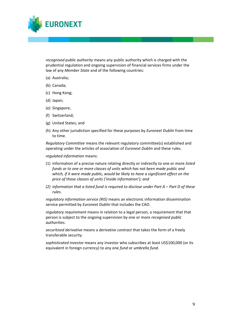

*recognised public authority* means any public authority which is charged with the prudential regulation and ongoing supervision of financial services firms under the law of any *Member State* and of the following countries:

- (a) Australia;
- (b) Canada;
- (c) Hong Kong;
- (d) Japan;
- (e) Singapore;
- (f) Switzerland;
- (g) United States; and
- (h) Any other jurisdiction specified for these purposes by *Euronext Dublin* from time to time.

*Regulatory Committee* means the relevant regulatory committee(s) established and operating under the articles of association of *Euronext Dublin* and these rules.

*regulated information* means:

- (1) information of a precise nature relating directly or indirectly to one or more *listed funds or to one or more classes of units which has not been made public and which, if it were made public, would be likely to have a significant effect on the price of those classes of units ('inside information'); and*
- *(2) information that a listed fund is required to disclose under Part A Part D of these rules.*

*regulatory information service (RIS)* means an electronic information dissemination service permitted by *Euronext Dublin* that includes the CAO.

*regulatory requirement* means in relation to a legal person, a requirement that that person is subject to the ongoing supervision by one or more *recognised public authorities.*

*securitised derivative* means a *derivative contract* that takes the form of a freely transferable security.

*sophisticated investor* means any investor who subscribes at least US\$100,000 (or its equivalent in foreign currency) to any one *fund* or *umbrella fund*.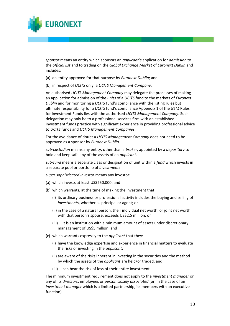

*sponsor* means an entity which sponsors an *applicant's* application for *admission* to the *official list* and to trading on the *Global Exchange Market* of *Euronext Dublin* and includes:

- (a) an entity approved for that purpose by *Euronext Dublin*; and
- (b) in respect of *UCITS* only, a *UCITS Management Company*.

An authorised *UCITS Management Company* may delegate the processes of making an application for admission of the *units* of a *UCITS* fund to the markets of *Euronext Dublin* and for monitoring a *UCITS* fund's compliance with the listing rules but ultimate responsibility for a *UCITS* fund's compliance Appendix 1 of the *GEM* Rules for Investment Funds lies with the authorised *UCITS Management Company*. Such delegation may only be to a professional services firm with an established investment funds practice with significant experience in providing professional advice to *UCITS* funds and *UCITS Management Companies*.

For the avoidance of doubt a *UCITS Management Company* does not need to be approved as a sponsor by *Euronext Dublin*.

*sub-custodian* means any entity, other than a *broker*, appointed by a *depositary* to hold and keep safe any of the assets of an *applicant*.

*sub-fund* means a separate class or designation of unit within a *fund* which invests in a separate pool or portfolio of *investments*.

*super sophisticated investor* means any investor:

- (a) which invests at least US\$250,000; and
- (b) which warrants, at the time of making the investment that:
	- (i) its ordinary business or professional activity includes the buying and selling of *investments*, whether as principal or agent; or
	- (ii) in the case of a natural person, their individual net worth, or joint net worth with that person's spouse, exceeds US\$2.5 million; or
	- (iii) it is an institution with a minimum amount of assets under discretionary management of US\$5 million; and
- (c) which warrants expressly to the *applicant* that they:
	- (i) have the knowledge expertise and experience in financial matters to evaluate the risks of investing in the *applicant*;
	- (ii) are aware of the risks inherent in investing in the securities and the method by which the assets of the *applicant* are held/or traded, and
	- (iii) can bear the risk of loss of their entire investment.

The minimum investment requirement does not apply to the *investment manager* or any of its *directors*, employees or *person closely associated* (or, in the case of an *investment manager* which is a limited partnership, its members with an executive function).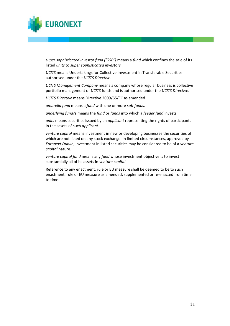

*super sophisticated investor fund ("SSF")* means a *fund* which confines the sale of its listed *units* to *super sophisticated investors.*

*UCITS* means Undertakings for Collective Investment in Transferable Securities authorised under the *UCITS Directive*.

*UCITS Management Company* means a company whose regular business is collective portfolio management of *UCITS* funds and is authorised under the *UCITS Directive*.

*UCITS Directive* means Directive 2009/65/EC as amended.

*umbrella fund* means a *fund* with one or more *sub-funds*.

*underlying fund/s* means the *fund* or *funds* into which a *feeder fund* invests.

*units* means securities issued by an *applicant* representing the rights of participants in the assets of such *applicant*.

*venture capital* means investment in new or developing businesses the securities of which are not listed on any stock exchange. In limited circumstances, approved by *Euronext Dublin*, investment in listed securities may be considered to be of a *venture capital* nature.

*venture capital fund* means any *fund* whose investment objective is to invest substantially all of its assets in *venture capital.*

Reference to any enactment, rule or EU measure shall be deemed to be to such enactment, rule or EU measure as amended, supplemented or re-enacted from time to time.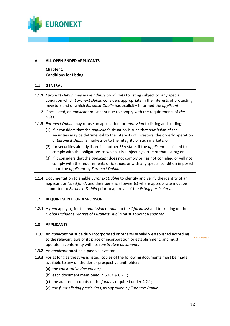

## **A ALL OPEN-ENDED APPLICANTS**

**Chapter 1 Conditions for Listing**

#### **1.1 GENERAL**

- **1.1.1** *Euronext Dublin* may make *admission* of *units* to listing subject to any special condition which *Euronext Dublin* considers appropriate in the interests of protecting investors and of which *Euronext Dublin* has explicitly informed the *applicant*.
- **1.1.2** Once listed, an *applicant* must continue to comply with the requirements of *the rules.*
- **1.1.3** *Euronext Dublin* may refuse an application for *admission* to listing and trading:
	- (1) if it considers that the *applicant's* situation is such that *admission* of the securities may be detrimental to the interests of investors, the orderly operation of *Euronext Dublin's* markets or to the integrity of such markets; or
	- (2) for securities already listed in another EEA state, if the *applicant* has failed to comply with the obligations to which it is subject by virtue of that listing; or
	- (3) if it considers that the *applicant* does not comply or has not complied or will not comply with the requirements of *the rules* or with any special condition imposed upon the *applicant* by *Euronext Dublin*.
- **1.1.4** Documentation to enable *Euronext Dublin* to identify and verify the identity of an applicant or *listed fund*, and their beneficial owner(s) where appropriate must be submitted to *Euronext Dublin* prior to approval of the *listing particulars.*

## **1.2 REQUIREMENT FOR A SPONSOR**

**1.2.1** A *fund* applying for the *admission* of *units* to the *Official list* and to trading on the *Global Exchange Market* of *Euronext Dublin* must appoint a *sponsor*.

## **1.3 APPLICANTS**

**1.3.1** An *applicant* must be duly incorporated or otherwise validly established according to the relevant laws of its place of incorporation or establishment, and must operate in conformity with its *constitutive documents*.

CARD Article 42

- **1.3.2** An *applicant* must be a passive investor.
- **1.3.3** For as long as the *fund* is listed, copies of the following documents must be made available to any unitholder or prospective unitholder:
	- (a) the *constitutive documents;*
	- (b) each document mentioned in 6.6.3 & 6.7.1;
	- (c) the audited accounts of the *fund* as required under 4.2.1;
	- (d) the *fund's listing particulars*, as approved by *Euronext Dublin.*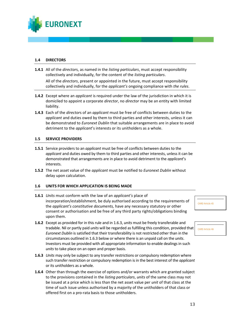

## **1.4 DIRECTORS**

**1.4.1** All of the *director*s, as named in the *listing particulars*, must accept responsibility collectively and individually, for the content of the *listing particulars*.

All of the *directors*, present or appointed in the future, must accept responsibility collectively and individually, for the *applicant's* ongoing compliance with *the rules*.

- **1.4.2** Except where an *applicant* is required under the law of the jurisdiction in which it is domiciled to appoint a corporate *director*, no *director* may be an entity with limited liability.
- **1.4.3** Each of the *director*s of an *applicant* must be free of conflicts between duties to the *applicant* and duties owed by them to third parties and other interests, unless it can be demonstrated to *Euronext Dublin* that suitable arrangements are in place to avoid detriment to the *applicant*'s interests or its unitholders as a whole.

### **1.5 SERVICE PROVIDERS**

- **1.5.1** Service providers to an *applicant* must be free of conflicts between duties to the *applicant* and duties owed by them to third parties and other interests, unless it can be demonstrated that arrangements are in place to avoid detriment to the *applicant*'s interests.
- **1.5.2** The net asset value of the *applicant* must be notified to *Euronext Dublin* without delay upon calculation.

#### **1.6 UNITS FOR WHICH APPLICATION IS BEING MADE**

- **1.6.1** *Units* must conform with the law of an *applicant's* place of incorporation/establishment, be duly authorised according to the requirements of the *applicant's constitutive documents,* have any necessary statutory or other consent or authorisation and be free of any third party rights/obligations binding upon them.
- **1.6.2** Except as provided for in this rule and in 1.6.3, *units* must be freely transferable and tradable. Nil or partly paid *units* will be regarded as fulfilling this condition, provided that *Euronext Dublin* is satisfied that their transferability is not restricted other than in the circumstances outlined in 1.6.3 below or where there is an unpaid call on the *units*. Investors must be provided with all appropriate information to enable dealings in such *units* to take place on an open and proper basis.
- **1.6.3** *Units* may only be subject to any transfer restrictions or compulsory redemption where such transfer restriction or compulsory redemption is in the best interest of the *applicant* or its unitholders as a whole.
- **1.6.4** Other than through the exercise of options and/or warrants which are granted subject to the provisions contained in the *listing particulars*, *units* of the same class may not be issued at a price which is less than the net asset value per *unit* of that class at the time of such issue unless authorised by a majority of the unitholders of that class or offered first on a pro-rata basis to those unitholders.

CARD Article 45

CARD Article 46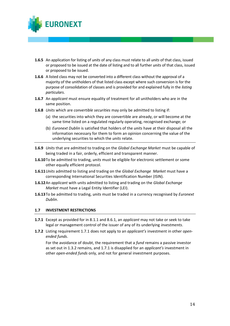

- **1.6.5** An application for listing of *units* of any class must relate to all *units* of that class, issued or proposed to be issued at the date of listing and to all further *units* of that class, issued or proposed to be issued.
- **1.6.6** A listed class may not be converted into a different class without the approval of a majority of the unitholders of that listed class except where such conversion is for the purpose of consolidation of classes and is provided for and explained fully in the *listing particulars*.
- **1.6.7** An *applicant* must ensure equality of treatment for all unitholders who are in the same position.
- **1.6.8** *Units* which are *convertible securities* may only be admitted to listing if:
	- (a) the securities into which they are convertible are already, or will become at the same time listed on a regulated regularly operating, recognised exchange; or
	- (b) *Euronext Dublin* is satisfied that holders of the *units* have at their disposal all the information necessary for them to form an opinion concerning the value of the underlying securities to which the *units* relate.
- **1.6.9** *Units* that are admitted to trading on the *Global Exchange Market* must be capable of being traded in a fair, orderly, efficient and transparent manner.
- **1.6.10**To be admitted to trading, *units* must be eligible for electronic settlement or some other equally efficient protocol.
- **1.6.11***Units* admitted to listing and trading on the *Global Exchange Market* must have a corresponding International Securities Identification Number (ISIN).
- **1.6.12**An *applicant* with units admitted to listing and trading on the *Global Exchange Market* must have a Legal Entity Identifier (LEI).
- **1.6.13**To be admitted to trading, *units* must be traded in a currency recognised by *Euronext Dublin*.

#### **1.7 INVESTMENT RESTRICTIONS**

- **1.7.1** Except as provided for in 8.1.1 and 8.6.1, an *applicant* may not take or seek to take legal or management control of the issuer of any of its underlying *investments*.
- **1.7.2** Listing requirement 1.7.1 does not apply to an *applicant's* investment in other *openended funds*.

For the avoidance of doubt, the requirement that a *fund* remains a passive investor as set out in 1.3.2 remains, and 1.7.1 is disapplied for an *applicant's* investment in other *open-ended funds* only, and not for general investment purposes.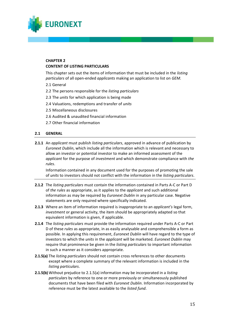

#### **CHAPTER 2 CONTENT OF LISTING PARTICULARS**

This chapter sets out the items of information that must be included in the *listing particulars* of all open-ended *applicants* making an application to list on *GEM.*

- 2.1 General
- 2.2 The persons responsible for the *listing particulars*
- 2.3 The *units* for which application is being made
- 2.4 Valuations, redemptions and transfer of *units*
- 2.5 Miscellaneous disclosures
- 2.6 Audited & unaudited financial information
- 2.7 Other financial information

### **2.1 GENERAL**

**2.1.1** An *applicant* must publish *listing particulars*, approved in advance of publication by *Euronext Dublin*, which include all the information which is relevant and necessary to allow an investor or potential investor to make an informed assessment of the *applicant* for the purpose of *investment* and which demonstrate compliance with *the rules*.

Information contained in any document used for the purposes of promoting the sale of *units* to investors should not conflict with the information in the *listing particulars*.

- **2.1.2** The *listing particulars* must contain the information contained in Parts A-C or Part D of *the rules* as appropriate, as it applies to the *applicant* and such additional information as may be required by *Euronext Dublin* in any particular case. Negative statements are only required where specifically indicated.
- **2.1.3** Where an item of information required is inappropriate to an *applicant's* legal form, *investment* or general activity, the item should be appropriately adapted so that equivalent information is given, if applicable.
- **2.1.4** The *listing particulars* must provide the information required under Parts A-C or Part D of these *rules* as appropriate, in as easily analysable and comprehensible a form as possible. In applying this requirement, *Euronext Dublin* will have regard to the type of investors to which the *units* in the *applicant* will be marketed. *Euronext Dublin* may require that prominence be given in the *listing particulars* to important information in such a manner as it considers appropriate.
- **2.1.5(a)** The *listing particulars* should not contain cross references to other documents except where a complete summary of the relevant information is included in the *listing particulars*.
- **2.1.5(b)** Without prejudice to 2.1.5(a) information may be incorporated in a *listing particulars* by reference to one or more previously or simultaneously published documents that have been filed with *Euronext Dublin*. Information incorporated by reference must be the latest available to the *listed fund*.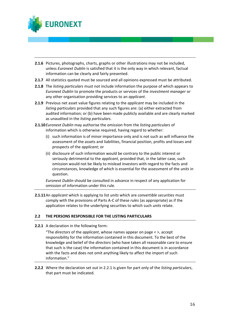

- **2.1.6** Pictures, photographs, charts, graphs or other illustrations may not be included, unless *Euronext Dublin* is satisfied that it is the only way in which relevant, factual information can be clearly and fairly presented.
- **2.1.7** All statistics quoted must be sourced and all opinions expressed must be attributed.
- **2.1.8** The *listing particulars* must not include information the purpose of which appears to *Euronext Dublin* to promote the products or services of the *investment manager* or any other organisation providing services to an *applicant*.
- **2.1.9** Previous net asset value figures relating to the *applicant* may be included in the *listing particulars* provided that any such figures are: (a) either extracted from audited information; or (b) have been made publicly available and are clearly marked as unaudited in the *listing particulars*.
- **2.1.10***Euronext Dublin* may authorise the omission from the *listing particulars* of information which is otherwise required, having regard to whether:
	- (i) such information is of minor importance only and is not such as will influence the assessment of the assets and liabilities, financial position, profits and losses and prospects of the *applicant*; or
	- (ii) disclosure of such information would be contrary to the public interest or seriously detrimental to the *applicant*, provided that, in the latter case, such omission would not be likely to mislead investors with regard to the facts and circumstances, knowledge of which is essential for the assessment of the *units* in question.

*Euronext Dublin* should be consulted in advance in respect of any application for omission of information under this rule.

**2.1.11**An *applicant* which is applying to list *units* which are *convertible securities* must comply with the provisions of Parts A-C of these *rules* (as appropriate) as if the application relates to the underlying securities to which such *units* relate.

## **2.2 THE PERSONS RESPONSIBLE FOR THE LISTING PARTICULARS**

**2.2.1** A declaration in the following form:

"The *directors* of the *applicant*, whose names appear on page < >, accept responsibility for the information contained in this document. To the best of the knowledge and belief of the *directors* (who have taken all reasonable care to ensure that such is the case) the information contained in this document is in accordance with the facts and does not omit anything likely to affect the import of such information."

**2.2.2** Where the declaration set out in 2.2.1 is given for part only of the *listing particulars*, that part must be indicated.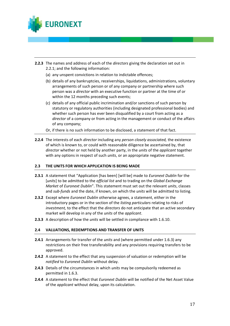

- **2.2.3** The names and address of each of the *directors* giving the declaration set out in 2.2.1; and the following information:
	- (a) any unspent convictions in relation to indictable offences;
	- (b) details of any bankruptcies, receiverships, liquidations, administrations, voluntary arrangements of such person or of any company or partnership where such person was a *director* with an executive function or partner at the time of or within the 12 months preceding such events;
	- (c) details of any official public incrimination and/or sanctions of such person by statutory or regulatory authorities (including designated professional bodies) and whether such person has ever been disqualified by a court from acting as a *director* of a company or from acting in the management or conduct of the affairs of any company;
	- Or, if there is no such information to be disclosed, a statement of that fact.
- **2.2.4** The interests of each *director* including any *person closely associated,* the existence of which is known to, or could with reasonable diligence be ascertained by, that *director* whether or not held by another party, in the *units* of the *applicant* together with any options in respect of such *units*, or an appropriate negative statement.

#### **2.3 THE UNITS FOR WHICH APPLICATION IS BEING MADE**

- **2.3.1** A statement that "Application [has been] [will be] made to *Euronext Dublin* for the [*units*] to be admitted to the *official list* and to trading on the *Global Exchange Market* of *Euronext Dublin*". This statement must set out the relevant *units*, classes and *sub-funds* and the date, if known, on which the *units* will be admitted to listing.
- **2.3.2** Except where *Euronext Dublin* otherwise agrees, a statement, either in the introductory pages or in the section of the *listing particulars* relating to risks of *investment,* to the effect that the *directors* do not anticipate that an active secondary market will develop in any of the *units* of the *applicant*.
- **2.3.3** A description of how the *units* will be settled in compliance with 1.6.10.

#### **2.4 VALUATIONS, REDEMPTIONS AND TRANSFER OF UNITS**

- **2.4.1** Arrangements for transfer of the *units* and (where permitted under 1.6.3) any restrictions on their free transferability and any provisions requiring transfers to be approved.
- **2.4.2** A statement to the effect that any suspension of valuation or redemption will be *notified* to *Euronext Dublin* without delay.
- **2.4.3** Details of the circumstances in which *units* may be compulsorily redeemed as permitted in 1.6.3.
- **2.4.4** A statement to the effect that *Euronext Dublin* will be notified of the Net Asset Value of the *applicant* without delay, upon its calculation.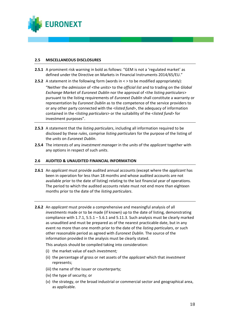

#### **2.5 MISCELLANEOUS DISCLOSURES**

- **2.5.1** A prominent risk warning in bold as follows: "GEM is not a 'regulated market' as defined under the Directive on Markets in Financial Instruments 2014/65/EU."
- **2.5.2** A statement in the following form (words in  $\lt$  > to be modified appropriately):

"Neither the *admission* of <the *units*> to the *official list* and to trading on the *Global Exchange Market* of *Euronext Dublin* nor the approval of <the *listing particulars*> pursuant to the listing requirements of *Euronext Dublin* shall constitute a warranty or representation by *Euronext Dublin* as to the competence of the service providers to or any other party connected with the <*listed fund*>, the adequacy of information contained in the <*listing particulars*> or the suitability of the <*listed fund*> for investment purposes".

- **2.5.3** A statement that the *listing particulars*, including all information required to be disclosed by these *rules*, comprise *listing particulars* for the purpose of the listing of the *units* on *Euronext Dublin*.
- **2.5.4** The interests of any *investment manager* in the *units* of the *applicant* together with any options in respect of such *units*.

### **2.6 AUDITED & UNAUDITED FINANCIAL INFORMATION**

- **2.6.1** An *applicant* must provide audited annual accounts (except where the *applicant* has been in operation for less than 18 months and whose audited accounts are not available prior to the date of listing) relating to the last financial year of operations. The period to which the audited accounts relate must not end more than eighteen months prior to the date of the *listing particulars*.
- **2.6.2** An *applicant* must provide a comprehensive and meaningful analysis of all *investments* made or to be made (if known) up to the date of listing, demonstrating compliance with 1.7.1, 5.5.1 – 5.6.1 and 5.11.3. Such analysis must be clearly marked as unaudited and must be prepared as of the nearest practicable date, but in any event no more than one month prior to the date of the *listing particulars*, or such other reasonable period as agreed with *Euronext Dublin.* The source of the information provided in the analysis must be clearly stated.

This analysis should be compiled taking into consideration:

- (i) the market value of each *investment;*
- (ii) the percentage of gross or net assets of the *applicant* which that *investment*  represents;
- (iii) the name of the issuer or counterparty;
- (iv) the type of security; or
- (v) the strategy, or the broad industrial or commercial sector and geographical area, as applicable.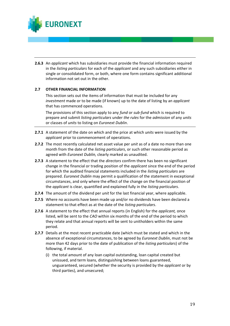

**2.6.3** An *applicant* which has subsidiaries must provide the financial information required in the *listing particulars* for each of the *applicant* and any such subsidiaries either in single or consolidated form, or both, where one form contains significant additional information not set out in the other.

### **2.7 OTHER FINANCIAL INFORMATION**

This section sets out the items of information that must be included for any *investment* made or to be made (if known) up to the date of listing by an *applicant* that has commenced operations.

The provisions of this section apply to any *fund* or *sub-fund* which is required to prepare and submit *listing particulars* under *the rules* for the *admission* of any *units* or classes of *units* to listing on *Euronext Dublin*.

- **2.7.1** A statement of the date on which and the price at which *units* were issued by the *applicant* prior to commencement of operations.
- **2.7.2** The most recently calculated net asset value per *unit* as of a date no more than one month from the date of the *listing particulars*, or such other reasonable period as agreed with *Euronext Dublin,* clearly marked as unaudited.
- **2.7.3** A statement to the effect that the *directors* confirm there has been no significant change in the financial or trading position of the *applicant* since the end of the period for which the audited financial statements included in the *listing particulars* are prepared. *Euronext Dublin* may permit a qualification of the statement in exceptional circumstances, and only where the effect of the change on the financial position of the *applicant* is clear, quantified and explained fully in the *listing particulars*.
- **2.7.4** The amount of the dividend per *unit* for the last financial year, where applicable.
- **2.7.5** Where no accounts have been made up and/or no dividends have been declared a statement to that effect as at the date of the *listing particulars*.
- **2.7.6** A statement to the effect that annual reports (in English) for the *applicant,* once listed, will be sent to the *CAO* within six months of the end of the period to which they relate and that annual reports will be sent to unitholders within the same period.
- **2.7.7** Details at the most recent practicable date (which must be stated and which in the absence of exceptional circumstances, to be agreed by *Euronext Dublin*, must not be more than 42 days prior to the date of publication of the *listing particulars*) of the following, if material.
	- (i) the total amount of any loan capital outstanding, loan capital created but unissued, and term loans, distinguishing between loans guaranteed, unguaranteed, secured (whether the security is provided by the *applicant* or by third parties), and unsecured;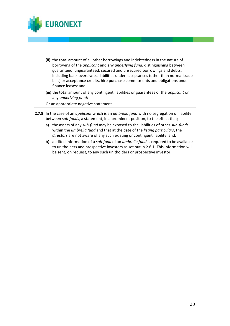

- (ii) the total amount of all other borrowings and indebtedness in the nature of borrowing of the *applicant* and any *underlying fund*, distinguishing between guaranteed, unguaranteed, secured and unsecured borrowings and debts, including bank overdrafts, liabilities under acceptances (other than normal trade bills) or acceptance credits, hire purchase commitments and obligations under finance leases; and
- (iii) the total amount of any contingent liabilities or guarantees of the *applicant* or any *underlying fund*;
- Or an appropriate negative statement.
- **2.7.8** In the case of an *applicant* which is an *umbrella fund* with no segregation of liability between *sub-funds*, a statement, in a prominent position, to the effect that;
	- a) the assets of any *sub-fund* may be exposed to the liabilities of other *sub-funds* within the *umbrella fund* and that at the date of the *listing particulars*, the *directors* are not aware of any such existing or contingent liability; and,
	- b) audited information of a *sub-fund* of an *umbrella fund* is required to be available to unitholders and prospective investors as set out in 2.6.1. This information will be sent, on request, to any such unitholders or prospective investor.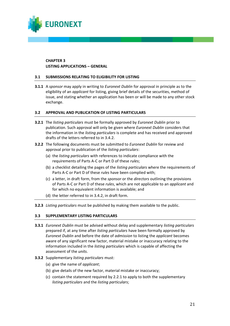

## **CHAPTER 3 LISTING APPLICATIONS – GENERAL**

## **3.1 SUBMISSIONS RELATING TO ELIGIBILITY FOR LISTING**

**3.1.1** A *sponsor* may apply in writing to *Euronext Dublin* for approval in principle as to the eligibility of an *applicant* for listing, giving brief details of the securities, method of issue, and stating whether an application has been or will be made to any other stock exchange.

### **3.2 APPROVAL AND PUBLICATION OF LISTING PARTICULARS**

- **3.2.1** The *listing particulars* must be formally approved by *Euronext Dublin* prior to publication. Such approval will only be given where *Euronext Dublin* considers that the information in the *listing particulars* is complete and has received and approved drafts of the letters referred to in 3.4.2.
- **3.2.2** The following documents must be submitted to *Euronext Dublin* for review and approval prior to publication of the *listing particulars*:
	- (a) the *listing particulars* with references to indicate compliance with the requirements of Parts A-C or Part D of these *rules*;
	- (b) a checklist detailing the pages of the *listing particulars* where the requirements of Parts A-C or Part D of these *rules* have been complied with;
	- (c) a letter, in draft form, from the *sponsor* or the *directors* outlining the provisions of Parts A-C or Part D of these *rules*, which are not applicable to an *applicant* and for which no equivalent information is available; and
	- (d) the letter referred to in 3.4.2, in draft form.
- **3.2.3** *Listing particulars* must be published by making them available to the public.

#### **3.3 SUPPLEMENTARY LISTING PARTICULARS**

- **3.3.1** *Euronext Dublin* must be advised without delay and supplementary *listing particulars* prepared if, at any time after *listing particulars* have been formally approved by *Euronext Dublin* and before the date of *admission* to listing the *applicant* becomes aware of any significant new factor, material mistake or inaccuracy relating to the information included in the *listing particulars* which is capable of affecting the assessment of the *units*.
- **3.3.2** Supplementary *listing particulars* must:
	- (a) give the name of *applicant*;
	- (b) give details of the new factor, material mistake or inaccuracy;
	- (c) contain the statement required by 2.2.1 to apply to both the supplementary *listing particulars* and the *listing particulars*;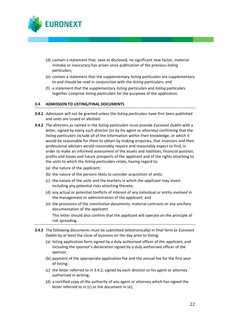

- (d) contain a statement that, save as disclosed, no significant new factor, material mistake or inaccuracy has arisen since publication of the previous *listing particulars*;
- (e) contain a statement that the supplementary *listing particulars* are supplementary to and should be read in conjunction with the *listing particulars*; and
- (f) a statement that the supplementary *listing particulars* and *listing particulars* together comprise *listing particulars* for the purposes of the application.

#### **3.4 ADMISSION TO LISTING/FINAL DOCUMENTS**

- **3.4.1** *Admission* will not be granted unless the *listing particulars* have first been published and *units* are issued or allotted.
- **3.4.2** The *director*s as named in the *listing particulars* must provide *Euronext Dublin* with a letter, signed by every such *director* (or by his agent or attorney) confirming that the *listing particulars* include all of the information within their knowledge, or which it would be reasonable for them to obtain by making enquiries, that investors and their professional advisers would reasonably require and reasonably expect to find, in order to make an informed assessment of the assets and liabilities, financial position, profits and losses and future prospects of the *applicant* and of the rights attaching to the *units* to which the *listing particulars* relate, having regard to:
	- (a) the nature of the *applicant*;
	- (b) the nature of the persons likely to consider acquisition of *units*;
	- (c) the nature of the *units* and the markets in which the *applicant* may invest including any potential risks attaching thereto;
	- (d) any actual or potential conflicts of interest of any individual or entity involved in the management or administration of the *applicant*; and
	- (e) the provisions of the *constitutive documents,* material contracts or any ancillary documentation of the *applicant*.

This letter should also confirm that the *applicant* will operate on the principle of risk spreading.

- **3.4.3** The following documents must be submitted (electronically) in final form to *Euronext Dublin* by at least the close of business on the day prior to listing:
	- (a) listing application form signed by a duly authorised officer of the *applicant*, and including the sponsor's declaration signed by a duly authorised officer of the sponsor;
	- (b) payment of the appropriate application fee and the annual fee for the first year of listing;
	- (c) the letter referred to in 3.4.2, signed by each *director* or his agent or attorney authorised in writing;
	- (d) a certified copy of the authority of any agent or attorney which has signed the letter referred to in (c) or the document in (e);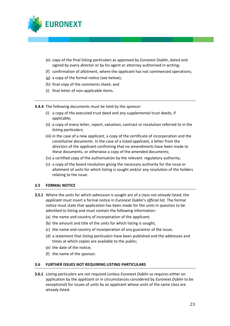

- (e) copy of the final listing *particulars* as approved by *Euronext Dublin*, dated and signed by every *director* or by his agent or attorney authorised in writing;
- (f) confirmation of allotment, where the *applicant* has not commenced operations;
- (g) a copy of the formal notice (see below);
- (h) final copy of the comments sheet; and
- (i) final letter of non-applicable items.

**3.4.4** The following documents must be held by the *sponsor:*

- (i) a copy of the executed trust deed and any supplemental trust deeds, if applicable;
- (ii) a copy of every letter, report, valuation, contract or resolution referred to in the *listing particulars;*
- (iii) in the case of a new *applicant*, a copy of the certificate of incorporation and the *constitutive documents.* In the case of a listed *applicant*, a letter from the *directors* of the *applicant* confirming that no amendments have been made to these documents, or otherwise a copy of the amended documents;
- (iv) a certified copy of the authorisation by the relevant regulatory authority;
- (v) a copy of the board resolution giving the necessary authority for the issue or allotment of *units* for which listing is sought and/or any resolution of the holders relating to the issue.

#### **3.5 FORMAL NOTICE**

- **3.5.1** Where the *units* for which *admission* is sought are of a class not already listed, the *applicant* must insert a formal notice in *Euronext Dublin*'s *official list.* The formal notice must state that application has been made for the *units* in question to be admitted to listing and must contain the following information:
	- (a) the name and country of incorporation of the *applicant*;
	- (b) the amount and title of the *units* for which listing is sought;
	- (c) the name and country of incorporation of any guarantor of the issue;
	- (d) a statement that *listing particulars* have been published and the addresses and times at which copies are available to the public;
	- (e) the date of the notice;
	- (f) the name of the *sponsor.*

#### **3.6 FURTHER ISSUES NOT REQUIRING LISTING PARTICULARS**

**3.6.1** *Listing particulars* are not required (unless *Euronext Dublin* so requires either on application by the *applicant* or in circumstances considered by *Euronext Dublin* to be exceptional) for issues of *units* by an *applicant* whose *units* of the same class are already listed.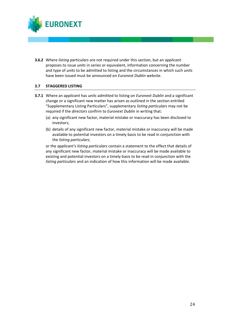

**3.6.2** Where *listing particulars* are not required under this section, but an *applicant* proposes to issue *units* in series or equivalent, information concerning the number and type of *units* to be admitted to listing and the circumstances in which such *units* have been issued must be announced on *Euronext Dublin* website.

### **3.7 STAGGERED LISTING**

- **3.7.1** Where an *applicant* has *units* admitted to listing on *Euronext Dublin* and a significant change or a significant new matter has arisen as outlined in the section entitled "Supplementary Listing Particulars", supplementary *listing particulars* may not be required if the *directors* confirm to *Euronext Dublin* in writing that:
	- (a) any significant new factor, material mistake or inaccuracy has been disclosed to investors;
	- (b) details of any significant new factor, material mistake or inaccuracy will be made available to potential investors on a timely basis to be read in conjunction with the *listing particulars*;

or the *applicant's listing particulars* contain a statement to the effect that details of any significant new factor, material mistake or inaccuracy will be made available to existing and potential investors on a timely basis to be read in conjunction with the *listing particulars* and an indication of how this information will be made available.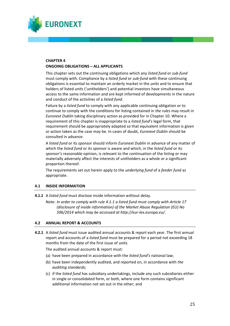

## **CHAPTER 4 ONGOING OBLIGATIONS – ALL APPLICANTS**

This chapter sets out the continuing obligations which any *listed fund* or *sub-fund*  must comply with. Compliance by a *listed fund* or *sub-fund* with these continuing obligations is essential to maintain an orderly market in the *units* and to ensure that holders of listed *units* ('unitholders') and potential investors have simultaneous access to the same information and are kept informed of developments in the nature and conduct of the activities of a *listed fund*.

Failure by a *listed fund* to comply with any applicable continuing obligation or to continue to comply with the conditions for listing contained in *the rules* may result in *Euronext Dublin* taking disciplinary action as provided for in Chapter 10. Where a requirement of this chapter is inappropriate to a *listed fund's* legal form, that requirement should be appropriately adapted so that equivalent information is given or action taken as the case may be. In cases of doubt, *Euronext Dublin* should be consulted in advance.

A *listed fund* or its *sponsor* should inform *Euronext Dublin* in advance of any matter of which the *listed fund* or its *sponsor* is aware and which, in the *listed fund* or its *sponsor's* reasonable opinion, is relevant to the continuation of the listing or may materially adversely affect the interests of unitholders as a whole or a significant proportion thereof.

The requirements set out herein apply to the *underlying fund* of a *feeder fund* as appropriate.

## **4.1 INSIDE INFORMATION**

- **4.1.1** A *listed fund must* disclose inside information without delay.
	- Note: *In order to comply with rule 4.1.1 a listed fund must comply with Article 17 (disclosure of inside information) of the Market Abuse Regulation (EU) No 596/2014 which may be accessed at http://eur-lex.europa.eu/.*

## **4.2 ANNUAL REPORT & ACCOUNTS**

**4.2.1** A *listed fund* must issue audited annual accounts & report each year. The first annual report and accounts of a *listed fund* must be prepared for a period not exceeding 18 months from the date of the first issue of *units*.

The audited annual accounts & report must:

- (a) have been prepared in accordance with the *listed fund's* national law;
- (b) have been independently audited, and reported on, in accordance with *the auditing standards;*
- (c) if the *listed fund* has subsidiary undertakings, include any such subsidiaries either in single or consolidated form, or both, where one form contains significant additional information not set out in the other; and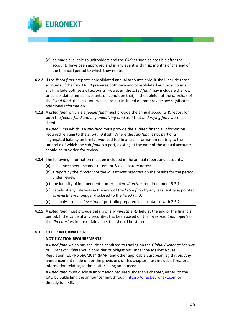

- (d) be made available to unitholders and the *CAO* as soon as possible after the accounts have been approved and in any event within six months of the end of the financial period to which they relate.
- **4.2.2** If the *listed fund* prepares consolidated annual accounts only, it shall include those accounts. If the *listed fund* prepares both own and consolidated annual accounts, it shall include both sets of accounts. However, the *listed fund* may include either own or consolidated annual accounts on condition that, in the opinion of the *directors* of the *listed fund*, the accounts which are not included do not provide any significant additional information.
- **4.2.3** A *listed fund* which is a *feeder fund* must provide the annual accounts & report for both the *feeder fund* and any *underlying fund* as if that *underlying fund* were itself listed.

A *listed Fund* which is a *sub-fund* must provide the audited financial information required relating to the *sub-fund* itself. Where the *sub*-*fund* is not part of a segregated liability umbrella *fund*, audited financial information relating to the umbrella of which the *sub-fund* is a part, existing at the date of the annual accounts, should be provided for review.

- **4.2.4** The following information must be included in the annual report and accounts,
	- (a) a balance sheet, income statement & explanatory notes;
	- (b) a report by the *directors* or the *investment manager* on the results for the period under review;
	- (c) the identity of independent non-executive *directors* required under 5.3.1;
	- (d) details of any interests in the *units* of the *listed fund* by any legal entity appointed as *investment manager* disclosed to the *listed fund*;
	- (e) an analysis of the *investment* portfolio prepared in accordance with 2.6.2.
- **4.2.5** A *listed fund* must provide details of any *investments* held at the end of the financial period. If the value of any securities has been based on the *investment manager's* or the *directors'* estimate of fair value, this should be stated.

## **4.3 OTHER INFORMATION**

## **NOTIFICATION REQUIREMENTS**

A *listed fund* which has securities admitted to trading on the *Global Exchange Market* of *Euronext Dublin* should consider its obligations under the Market Abuse Regulation (EU) No 596/2014 (MAR) and other applicable European legislation. Any announcement made under the provisions of this chapter must include all material information relating to the matter being announced.

A *listed fund* must disclose information required under this chapter, either: to the CAO by publishing the announcement through [https://direct.euronext.com](https://direct.euronext.com/) or directly to a RIS.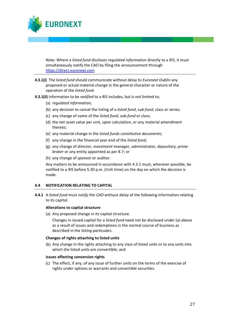

Note: Where a *listed fund* discloses *regulated information* directly to a *RIS*, it must simultaneously notify the CAO by filing the announcement through [https://direct.euronext.com](https://direct.euronext.com/)

- **4.3.1(i)** The *listed fund* should communicate without delay to *Euronext Dublin* any proposed or actual material change in the general character or nature of the operation of the *listed fund*.
- **4.3.1(ii)** Information to be *notified* to a *RIS* includes, but is not limited to;
	- (a) *regulated information;*
	- (b) any decision to cancel the listing of a *listed fund*, *sub-fund*, class or series;
	- (c) any change of name of the *listed fund*, *sub-fund* or class;
	- (d) the net asset value per unit, upon calculation, or any material amendment thereto;
	- (e) any material change in the *listed funds constitutive documents;*
	- (f) any change in the financial year end of the *listed fund*;
	- (g) any change of *director*, *investment manager*, administrator, *depositary, prime broker* or any entity appointed as per 8.7; or
	- (h) any change of *sponsor* or auditor.

Any matters to be announced in accordance with 4.3.1 must, wherever possible, be notified to a *RIS* before 5.30 p.m. (Irish time) on the day on which the decision is made.

## **4.4 NOTIFICATION RELATING TO CAPITAL**

**4.4.1** A *listed fund* must *notify* the *CAO* without delay of the following information relating to its capital:

#### **Alterations to capital structure**

(a) Any proposed change in its capital structure.

Changes in issued capital for a *listed fund* need not be disclosed under (a) above as a result of issues and redemptions in the normal course of business as described in the *listing particulars*.

#### **Changes of rights attaching to listed units**

(b) Any change in the rights attaching to any class of listed *units* or to any *units* into which the listed *units* are convertible; and

#### **Issues affecting conversion rights**

(c) The effect, if any, of any issue of further *units* on the terms of the exercise of rights under options or warrants and *convertible securities*.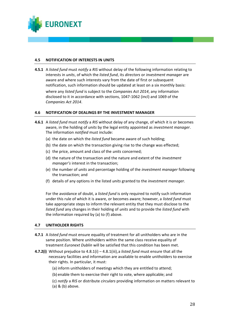

#### **4.5 NOTIFICATION OF INTERESTS IN UNITS**

**4.5.1** A *listed fund* must *notify* a *RIS* without delay of the following information relating to interests in *units*, of which the *listed fund*, its *directors* or *investment manager* are aware and where such interests vary from the date of first or subsequent notification, such information should be updated at least on a six monthly basis:

where any *listed fund* is subject to the *Companies Act 2014*, any information disclosed to it in accordance with sections, 1047-1062 (incl) and 1069 of the *Companies Act 2014*.

### **4.6 NOTIFICATION OF DEALINGS BY THE INVESTMENT MANAGER**

- **4.6.1** A *listed fund* must *notify* a *RIS* without delay of any change, of which it is or becomes aware, in the holding of *units* by the legal entity appointed as *investment manager*. The information *notified* must include:
	- (a) the date on which the *listed fund* became aware of such holding;
	- (b) the date on which the transaction giving rise to the change was effected;
	- (c) the price, amount and class of the *units* concerned;
	- (d) the nature of the transaction and the nature and extent of the *investment manager's* interest in the transaction;
	- (e) the number of *units* and percentage holding of the *investment manager* following the transaction; and
	- (f) details of any options in the listed *units* granted to the *investment manager.*

For the avoidance of doubt, a *listed fund* is only required to notify such information under this rule of which it is aware, or becomes aware; however, a *listed fund* must take appropriate steps to inform the relevant entity that they must disclose to the *listed fund* any changes in their holding of *units* and to provide the *listed fund* with the information required by (a) to (f) above.

#### **4.7 UNITHOLDER RIGHTS**

- **4.7.1** A *listed fund* must ensure equality of treatment for all unitholders who are in the same position. Where unitholders within the same class receive equality of treatment *Euronext Dublin* will be satisfied that this condition has been met.
- **4.7.2(i)** Without prejudice to 4.8.1(i) 4.8.1(iii),a *listed fund* must ensure that all the necessary facilities and information are available to enable unitholders to exercise their rights. In particular, it must:
	- (a) inform unitholders of meetings which they are entitled to attend;
	- (b) enable them to exercise their right to vote, where applicable; and
	- (c) *notify* a *RIS* or distribute *circulars* providing information on matters relevant to (a) & (b) above.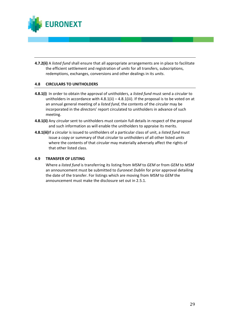

**4.7.2(ii)** A *listed fund* shall ensure that all appropriate arrangements are in place to facilitate the efficient settlement and registration of *units* for all transfers, subscriptions, redemptions, exchanges, conversions and other dealings in its *units*.

## **4.8 CIRCULARS TO UNITHOLDERS**

- **4.8.1(i)** In order to obtain the approval of unitholders, a *listed fund* must send a *circular* to unitholders in accordance with  $4.8.1$ (ii) –  $4.8.1$ (iii). If the proposal is to be voted on at an annual general meeting of a *listed fund*, the contents of the *circular* may be incorporated in the *director*s' report circulated to unitholders in advance of such meeting.
- **4.8.1(ii)** Any *circular* sent to unitholders must contain full details in respect of the proposal and such information as will enable the unitholders to appraise its merits.
- **4.8.1(iii)**If a *circular* is issued to unitholders of a particular class of unit, a *listed fund* must issue a copy or summary of that *circular* to unitholders of all other listed *units* where the contents of that *circular* may materially adversely affect the rights of that other listed class.

#### **4.9 TRANSFER OF LISTING**

Where a *listed fund* is transferring its listing from *MSM* to *GEM* or from *GEM* to *MSM*  an announcement must be submitted to *Euronext Dublin* for prior approval detailing the date of the transfer. For listings which are moving from *MSM* to *GEM* the announcement must make the disclosure set out in 2.5.1.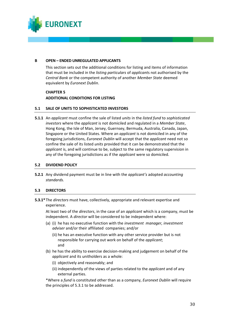

#### **B OPEN – ENDED UNREGULATED APPLICANTS**

This section sets out the additional conditions for listing and items of information that must be included in the *listing particulars* of *applicant*s not authorised by the *Central Bank* or the competent authority of another *Member State* deemed equivalent by *Euronext Dublin*.

## **CHAPTER 5 ADDITIONAL CONDITIONS FOR LISTING**

### **5.1 SALE OF UNITS TO SOPHISTICATED INVESTORS**

**5.1.1** An *applicant* must confine the sale of listed *units* in the *listed fund* to *sophisticated investors* where the *applicant* is not domiciled and regulated in a *Member State*, Hong Kong, the Isle of Man, Jersey, Guernsey, Bermuda, Australia, Canada, Japan, Singapore or the United States. Where an *applicant* is not domiciled in any of the foregoing jurisdictions, *Euronext Dublin* will accept that the *applicant* need not so confine the sale of its listed *units* provided that it can be demonstrated that the *applicant* is, and will continue to be, subject to the same regulatory supervision in any of the foregoing jurisdictions as if the *applicant* were so domiciled.

## **5.2 DIVIDEND POLICY**

**5.2.1** Any dividend payment must be in line with the *applicant's* adopted *accounting standards.* 

## **5.3 DIRECTORS**

**5.3.1\***The *directors* must have, collectively, appropriate and relevant expertise and experience.

At least two of the *directors*, in the case of an *applicant* which is a company, must be independent. A *director* will be considered to be independent where:

- (a) (i) he has no executive function with the *investment manager, investment adviser* and/or their affiliated companies; and/or
	- (ii) he has an executive function with any other service provider but is not responsible for carrying out work on behalf of the *applicant*; and
- (b) he has the ability to exercise decision-making and judgement on behalf of the *applicant* and its unitholders as a whole:
	- (i) objectively and reasonably; and
	- (ii) independently of the views of parties related to the *applicant* and of any external parties.

\*Where a *fund* is constituted other than as a company, *Euronext Dublin* will require the principles of 5.3.1 to be addressed.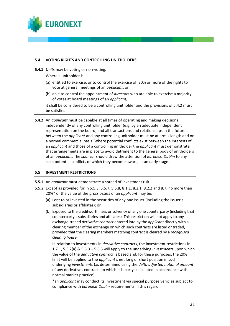

### **5.4 VOTING RIGHTS AND CONTROLLING UNITHOLDERS**

**5.4.1** *Units* may be voting or non-voting.

Where a unitholder is:

- (a) entitled to exercise, or to control the exercise of, 30% or more of the rights to vote at general meetings of an *applicant*; or
- (b) able to control the appointment of *directors* who are able to exercise a majority of votes at board meetings of an *applicant*,

it shall be considered to be a controlling unitholder and the provisions of 5.4.2 must be satisfied.

**5.4.2** An *applicant* must be capable at all times of operating and making decisions independently of any controlling unitholder (e.g. by an adequate independent representation on the board) and all transactions and relationships in the future between the *applicant* and any controlling unitholder must be at arm's length and on a normal commercial basis. Where potential conflicts exist between the interests of an *applicant* and those of a controlling unitholder the *applicant* must demonstrate that arrangements are in place to avoid detriment to the general body of unitholders of an *applicant*. The *sponsor* should draw the attention of *Euronext Dublin* to any such potential conflicts of which they become aware, at an early stage.

## **5.5 INVESTMENT RESTRICTIONS**

- **5.5.1** An *applicant* must demonstrate a spread of investment risk.
- 5.5.2 Except as provided for in 5.5.3, 5.5.7, 5.5.8, 8.1.1, 8.2.1, 8.2.2 and 8.7, no more than 20%\* of the value of the *gross assets* of an *applicant* may be:
	- (a) Lent to or invested in the securities of any one issuer (including the issuer's subsidiaries or affiliates); or
	- (b) Exposed to the creditworthiness or solvency of any one counterparty (including that counterparty's subsidiaries and affiliates). This restriction will not apply to any exchange-traded *derivative contract* entered into by the *applicant* directly with a clearing member of the exchange on which such contracts are listed or traded, provided that the clearing members matching contract is cleared by a *recognised clearing house.*

In relation to investments in *derivative contracts*, the investment restrictions in 1.7.1, 5.5.2(a) & 5.5.3 – 5.5.5 will apply to the underlying *investments* upon which the value of the *derivative contract* is based and, for these purposes, the 20% limit will be applied to the *applicant's* net long or short position in such underlying *investments* (as determined using the *delta adjusted notional amount*  of any derivatives contracts to which it is party, calculated in accordance with normal market practice).

\*an *applicant* may conduct its investment via special purpose vehicles subject to compliance with *Euronext Dublin* requirements in this regard.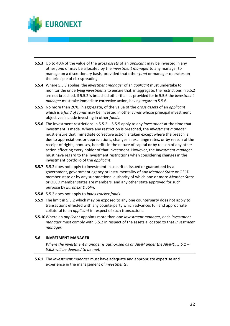

- **5.5.3** Up to 40% of the value of the *gross assets* of an *applicant* may be invested in any other *fund* or may be allocated by the *investment manager* to any manager to manage on a discretionary basis, provided that other *fund* or manager operates on the principle of risk spreading.
- **5.5.4** Where 5.5.3 applies, the *investment manager* of an *applicant* must undertake to monitor the underlying *investments* to ensure that, in aggregate, the restrictions in 5.5.2 are not breached. If 5.5.2 is breached other than as provided for in 5.5.6 the *investment manager* must take immediate corrective action, having regard to 5.5.6.
- **5.5.5** No more than 20%, in aggregate, of the value of the *gross assets* of an *applicant* which is a *fund of funds* may be invested in other *funds* whose principal investment objectives include investing in other *funds*.
- **5.5.6** The investment restrictions in 5.5.2 5.5.5 apply to any *investment* at the time that investment is made. Where any restriction is breached, the *investment manager*  must ensure that immediate corrective action is taken except where the breach is due to appreciations or depreciations, changes in exchange rates, or by reason of the receipt of rights, bonuses, benefits in the nature of capital or by reason of any other action affecting every holder of that investment. However, the *investment manager*  must have regard to the investment restrictions when considering changes in the investment portfolio of the *applicant*.
- **5.5.7** 5.5.2 does not apply to investment in securities issued or guaranteed by a government, government agency or instrumentality of any *Member State* or OECD member state or by any supranational authority of which one or more *Member State* or OECD member states are members, and any other state approved for such purpose by *Euronext Dublin*.
- **5.5.8** 5.5.2 does not apply to *index tracker funds*.
- **5.5.9** The limit in 5.5.2 which may be exposed to any one counterparty does not apply to transactions effected with any counterparty which advances full and appropriate collateral to an *applicant* in respect of such transactions.
- **5.5.10**Where an *applicant* appoints more than one *investment manager,* each *investment manager* must comply with 5.5.2 in respect of the assets allocated to that *investment manager.*

## **5.6 INVESTMENT MANAGER**

*Where the investment manager is authorised as an AIFM under the AIFMD, 5.6.1 – 5.6.2 will be deemed to be met.* 

**5.6.1** The *investment manager* must have adequate and appropriate expertise and experience in the management of *investments*.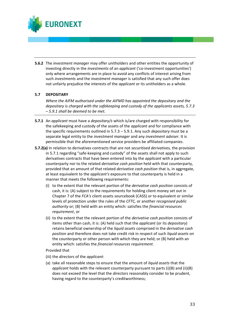

**5.6.2** The *investment manager* may offer unitholders and other entities the opportunity of investing directly in the *investments* of an *applicant* ('co-investment opportunities') only where arrangements are in place to avoid any conflicts of interest arising from such *investments* and the *investment manager* is satisfied that any such offer does not unfairly prejudice the interests of the *applicant* or its unitholders as a whole.

## **5.7 DEPOSITARY**

*Where the AIFM authorised under the AIFMD has appointed the depositary and the depositary is charged with the safekeeping and custody of the applicants assets, 5.7.3 – 5.9.1 shall be deemed to be met.*

- **5.7.1** An *applicant* must have a *depositary/s* which is/are charged with responsibility for the safekeeping and custody of the assets of the *applicant* and for compliance with the specific requirements outlined in 5.7.3 – 5.9.1. Any such *depositary* must be a separate legal entity to the *investment manager* and any *investment adviser.* It is permissible that the aforementioned service providers be affiliated companies.
- **5.7.2(a)** In relation to derivatives contracts that are not *securitised derivatives,* the provision in 5.7.1 regarding "safe-keeping and custody" of the assets shall not apply to such derivatives contracts that have been entered into by the *applicant* with a particular counterparty nor to the related *derivative cash position* held with that counterparty, provided that an amount of that related *derivative cash position* that is, in aggregate, at least equivalent to the *applicant's* exposure to that counterparty is held in a manner that meets the following requirements:
	- (i) to the extent that the relevant portion of the *derivative cash position* consists of cash, it is: (A) subject to the requirements for holding client money set out in Chapter 7 of the *FCA's* client assets sourcebook (CASS) or to equivalent or similar levels of protection under the rules of the *CFTC,* or another *recognised public authority* or; (B) held with an entity which: satisfies the *financial resources requirement*, or
	- (ii) to the extent that the relevant portion of the *derivative cash position* consists of items other than cash, it is: (A) held such that the *applicant* (or its *depositary*) retains beneficial ownership of the *liquid assets* comprised in the *derivative cash position* and therefore does not take credit risk in respect of such *liquid assets* on the counterparty or other person with which they are held; or (B) held with an entity which: satisfies the *financial resources requirement*.

Provided that

- (iii) the *directors* of the *applicant*:
- (a) take all reasonable steps to ensure that the amount of *liquid assets* that the *applicant* holds with the relevant counterparty pursuant to parts (i)(B) and (ii)(B) does not exceed the level that the *directors* reasonably consider to be prudent, having regard to the counterparty's creditworthiness;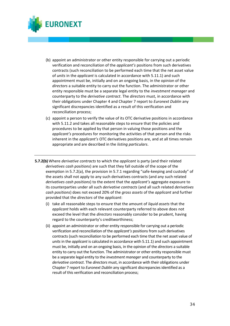

- (b) appoint an administrator or other entity responsible for carrying out a periodic verification and reconciliation of the *applicant's* positions from such derivatives contracts (such reconciliation to be performed each time that the net asset value of *units* in the *applicant* is calculated in accordance with 5.11.1) and such appointment must be, initially and on an ongoing basis, in the opinion of the *directors* a suitable entity to carry out the function. The administrator or other entity responsible must be a separate legal entity to the *investment manager* and counterparty to the *derivative contract*. The *directors* must, in accordance with their obligations under Chapter 4 and Chapter 7 report to *Euronext Dublin* any significant discrepancies identified as a result of this verification and reconciliation process;
- (c) appoint a person to verify the value of its OTC derivative positions in accordance with 5.11.2 and takes all reasonable steps to ensure that the policies and procedures to be applied by that person in valuing those positions and the *applicant's* procedures for monitoring the activities of that person and the risks inherent in the *applicant's* OTC derivatives positions are, and at all times remain appropriate and are described in the *listing particulars*.
- **5.7.2(b)** Where *derivative contracts* to which the *applicant* is party (and their related *derivatives cash positions*) are such that they fall outside of the scope of the exemption in 5.7.2(a), the provision in 5.7.1 regarding "safe-keeping and custody" of the assets shall not apply to any such derivatives contracts (and any such related *derivatives cash positions*) to the extent that the *applicant's* aggregate exposure to its counterparties under all such *derivative contracts* (and all such related *derivatives cash positions*) does not exceed 20% of the *gross assets* of the *applicant* and further provided that the *directors* of the *applicant*:
	- (i) take all reasonable steps to ensure that the amount of *liquid assets* that the *applicant* holds with each relevant counterparty referred to above does not exceed the level that the *directors* reasonably consider to be prudent, having regard to the counterparty's creditworthiness;
	- (ii) appoint an administrator or other entity responsible for carrying out a periodic verification and reconciliation of the *applicant's* positions from such derivatives contracts (such reconciliation to be performed each time that the net asset value of *units* in the *applicant* is calculated in accordance with 5.11.1) and such appointment must be, initially and on an ongoing basis, in the opinion of the *directors* a suitable entity to carry out the function. The administrator or other entity responsible must be a separate legal entity to the *investment manager* and counterparty to the *derivative contract*. The *directors* must, in accordance with their obligations under Chapter 7 report to *Euronext Dublin* any significant discrepancies identified as a result of this verification and reconciliation process;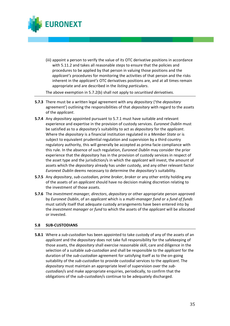

(iii) appoint a person to verify the value of its OTC derivative positions in accordance with 5.11.2 and takes all reasonable steps to ensure that the policies and procedures to be applied by that person in valuing those positions and the *applicant's* procedures for monitoring the activities of that person and the risks inherent in the *applicant's* OTC derivatives positions are, and at all times remain appropriate and are described in the *listing particulars*.

The above exemption in 5.7.2(b) shall not apply to *securitised derivatives.*

- **5.7.3** There must be a written legal agreement with any *depositary* ('the *depositary* agreement') outlining the responsibilities of that *depositary* with regard to the assets of the *applicant*.
- **5.7.4** Any *depositary* appointed pursuant to 5.7.1 must have suitable and relevant experience and expertise in the provision of custody services. *Euronext Dublin* must be satisfied as to a *depositary's* suitability to act as *depositary* for the *applicant*. Where the *depositary* is a financial institution regulated in a *Member State* or is subject to equivalent prudential regulation and supervision by a third country regulatory authority, this will generally be accepted as prima facie compliance with this rule. In the absence of such regulation, *Euronext Dublin* may consider the prior experience that the *depositary* has in the provision of custody services in respect of the asset type and the jurisdiction/s in which the *applicant* will invest, the amount of assets which the *depositary* already has under custody, and any other relevant factor *Euronext Dublin* deems necessary to determine the *depositary's* suitability.
- **5.7.5** Any *depositary*, *sub-custodian, prime broker*, *broker* or any other entity holding any of the assets of an *applicant* should have no decision making discretion relating to the investment of those assets.
- **5.7.6** The *investment manager, directors*, *depositary* or other appropriate person approved by *Euronext Dublin*, of an *applicant* which is a *multi-manager fund* or a *fund of funds* must satisfy itself that adequate custody arrangements have been entered into by the *investment manager* or *fund* to which the assets of the *applicant* will be allocated or invested.

## **5.8 SUB-CUSTODIANS**

**5.8.1** Where a *sub-custodian* has been appointed to take custody of any of the assets of an *applicant* and the *depositary* does not take full responsibility for the safekeeping of those assets, the *depositary* shall exercise reasonable skill, care and diligence in the selection of a suitable *sub-custodian* and shall be responsible to the *applicant* for the duration of the *sub-custodian* agreement for satisfying itself as to the on-going suitability of the *sub-custodian* to provide custodial services to the *applicant*. The *depositary* must maintain an appropriate level of supervision over the *subcustodian*/s and make appropriate enquiries, periodically, to confirm that the obligations of the *sub-custodian*/s continue to be adequately discharged.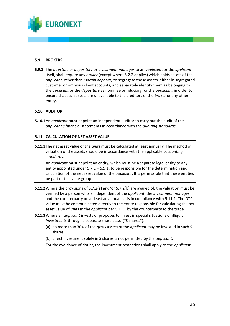

#### **5.9 BROKERS**

**5.9.1** The *directors* or *depositary* or *investment manager* to an *applicant*, or the *applicant* itself, shall require any *broker* (except where 8.2.2 applies) which holds assets of the *applicant*, other than *margin deposits,* to segregate those assets, either in segregated customer or omnibus client accounts, and separately identify them as belonging to the *applicant* or the *depositary* as nominee or fiduciary for the *applicant*, in order to ensure that such assets are unavailable to the creditors of the *broker* or any other entity.

### **5.10 AUDITOR**

**5.10.1**An *applicant* must appoint an independent auditor to carry out the audit of the *applicant's* financial statements in accordance with the *auditing standards.*

### **5.11 CALCULATION OF NET ASSET VALUE**

**5.11.1**The net asset value of the *units* must be calculated at least annually. The method of valuation of the assets should be in accordance with the applicable *accounting standards.*

An *applicant* must appoint an entity, which must be a separate legal entity to any entity appointed under  $5.7.1 - 5.9.1$ , to be responsible for the determination and calculation of the net asset value of the *applicant*. It is permissible that these entities be part of the same group.

- **5.11.2**Where the provisions of 5.7.2(a) and/or 5.7.2(b) are availed of, the valuation must be verified by a person who is independent of the *applicant*, the *investment manager*  and the counterparty on at least an annual basis in compliance with 5.11.1. The OTC value must be communicated directly to the entity responsible for calculating the net asset value of *units* in the *applicant* per 5.11.1 by the counterparty to the trade.
- **5.11.3**Where an *applicant* invests or proposes to invest in special situations or illiquid *investments* through a separate share class ("S shares"):
	- (a) no more than 30% of the *gross assets* of the *applicant* may be invested in such S shares:
	- (b) direct investment solely in S shares is not permitted by the *applicant*.
	- For the avoidance of doubt, the investment restrictions shall apply to the *applicant*.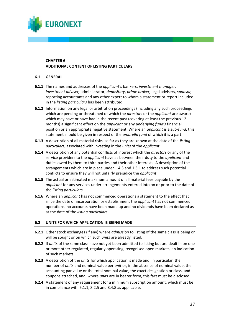

### **CHAPTER 6 ADDITIONAL CONTENT OF LISTING PARTICULARS**

#### **6.1 GENERAL**

- **6.1.1** The names and addresses of the *applicant's* bankers, *investment manager, investment adviser,* administrator, *depositary*, *prime broker,* legal advisers, *sponsor,*  reporting accountants and any other expert to whom a statement or report included in the *listing particulars* has been attributed.
- **6.1.2** Information on any legal or arbitration proceedings (including any such proceedings which are pending or threatened of which the *directors* or the *applicant* are aware) which may have or have had in the recent past (covering at least the previous 12 months) a significant effect on the *applicant* or any *underlying fund's* financial position or an appropriate negative statement. Where an *applicant* is a *sub-fund*, this statement should be given in respect of the *umbrella fund* of which it is a part.
- **6.1.3** A description of all material risks, as far as they are known at the date of the *listing particulars*, associated with investing in the *units* of the *applicant*.
- **6.1.4** A description of any potential conflicts of interest which the *directors* or any of the service providers to the *applicant* have as between their duty to the *applicant* and duties owed by them to third parties and their other interests. A description of the arrangements which are in place under 1.4.3 and 1.5.1 to address such potential conflicts to ensure they will not unfairly prejudice the *applicant*.
- **6.1.5** The actual or estimated maximum amount of all material fees payable by the *applicant* for any services under arrangements entered into on or prior to the date of the *listing particulars*.
- **6.1.6** Where an *applicant* has not commenced operations a statement to the effect that since the date of incorporation or establishment the *applicant* has not commenced operations, no accounts have been made up and no dividends have been declared as at the date of the *listing particulars*.

#### **6.2 UNITS FOR WHICH APPLICATION IS BEING MADE**

- **6.2.1** Other stock exchanges (if any) where *admission* to listing of the same class is being or will be sought or on which such *units* are already listed.
- **6.2.2** If *units* of the same class have not yet been admitted to listing but are dealt in on one or more other regulated, regularly operating, recognised open markets, an indication of such markets.
- **6.2.3** A description of the *units* for which application is made and, in particular, the number of *units* and nominal value per *unit* or, in the absence of nominal value, the accounting par value or the total nominal value, the exact designation or class, and coupons attached, and, where *units* are in bearer form, this fact must be disclosed.
- **6.2.4** A statement of any requirement for a minimum subscription amount, which must be in compliance with 5.1.1, 8.2.5 and 8.4.8 as applicable.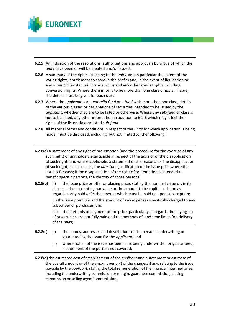

- **6.2.5** An indication of the resolutions, authorisations and approvals by virtue of which the *units* have been or will be created and/or issued.
- **6.2.6** A summary of the rights attaching to the *units*, and in particular the extent of the voting rights, entitlement to share in the profits and, in the event of liquidation or any other circumstances, in any surplus and any other special rights including conversion rights. Where there is, or is to be more than one class of *units* in issue, like details must be given for each class.
- **6.2.7** Where the *applicant* is an *umbrella fund* or a *fund* with more than one class, details of the various classes or designations of securities intended to be issued by the *applicant*, whether they are to be listed or otherwise. Where any *sub-fund* or class is not to be listed, any other information in addition to 6.2.6 which may affect the rights of the listed class or listed *sub-fund*.
- **6.2.8** All material terms and conditions in respect of the *units* for which application is being made, must be disclosed, including, but not limited to, the following:
- **6.2.8(a)** A statement of any right of pre-emption (and the procedure for the exercise of any such right) of unitholders exercisable in respect of the *units* or of the disapplication of such right (and where applicable, a statement of the reasons for the disapplication of such right; in such cases, the *directors*' justification of the issue price where the issue is for cash; if the disapplication of the right of pre-emption is intended to benefit specific persons, the identity of those persons);
- **6.2.8(b)** (i) the issue price or offer or placing price, stating the nominal value or, in its absence, the accounting par value or the amount to be capitalised, and as regards partly paid *units* the amount which must be paid up upon subscription; (ii) the issue premium and the amount of any expenses specifically charged to any subscriber or purchaser; and

(iii) the methods of payment of the price, particularly as regards the paying-up of *units* which are not fully paid and the methods of, and time limits for, delivery of the *units*;

- **6.2.8(c)** (i) the names, addresses and descriptions of the persons underwriting or guaranteeing the issue for the *applicant*; and
	- (ii) where not all of the issue has been or is being underwritten or guaranteed, a statement of the portion not covered;
- **6.2.8(d)** the estimated cost of establishment of the *applicant* and a statement or estimate of the overall amount or of the amount per *unit* of the charges, if any, relating to the issue payable by the *applicant*, stating the total remuneration of the financial intermediaries, including the underwriting commission or margin, guarantee commission, placing commission or selling agent's commission.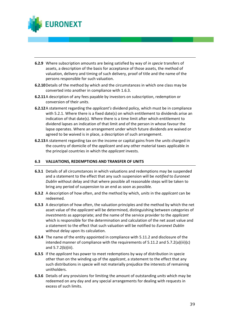

- **6.2.9** Where subscription amounts are being satisfied by way of *in specie* transfers of assets, a description of the basis for acceptance of those assets, the method of valuation, delivery and timing of such delivery, proof of title and the name of the persons responsible for such valuation.
- **6.2.10**Details of the method by which and the circumstances in which one class may be converted into another in compliance with 1.6.3.
- **6.2.11**A description of any fees payable by investors on subscription, redemption or conversion of their *units*.
- **6.2.12**A statement regarding the *applicant's* dividend policy, which must be in compliance with 5.2.1. Where there is a fixed date(s) on which entitlement to dividends arise an indication of that date(s). Where there is a time limit after which entitlement to dividend lapses an indication of that limit and of the person in whose favour the lapse operates. Where an arrangement under which future dividends are waived or agreed to be waived is in place, a description of such arrangement.
- **6.2.13**A statement regarding tax on the income or capital gains from the *units* charged in the country of domicile of the *applicant* and any other material taxes applicable in the principal countries in which the *applicant* invests.

## **6.3 VALUATIONS, REDEMPTIONS AND TRANSFER OF UNITS**

- **6.3.1** Details of all circumstances in which valuations and redemptions may be suspended and a statement to the effect that any such suspension will be *notified* to *Euronext Dublin* without delay and that where possible all reasonable steps will be taken to bring any period of suspension to an end as soon as possible.
- **6.3.2** A description of how often, and the method by which, *units* in the *applicant* can be redeemed.
- **6.3.3** A description of how often, the valuation principles and the method by which the net asset value of the *applicant* will be determined, distinguishing between categories of *investments* as appropriate; and the name of the service provider to the *applicant* which is responsible for the determination and calculation of the net asset value and a statement to the effect that such valuation will be notified to *Euronext Dublin* without delay upon its calculation.
- **6.3.4** The name of the entity appointed in compliance with 5.11.2 and disclosure of the intended manner of compliance with the requirements of 5.11.2 and 5.7.2(a)(iii)(c) and 5.7.2(b)(iii).
- **6.3.5** If the *applicant* has power to meet redemptions by way of distribution in specie other than on the winding up of the *applicant*, a statement to the effect that any such distributions in specie will not materially prejudice the interests of remaining unitholders.
- **6.3.6** Details of any provisions for limiting the amount of outstanding *units* which may be redeemed on any day and any special arrangements for dealing with requests in excess of such limits.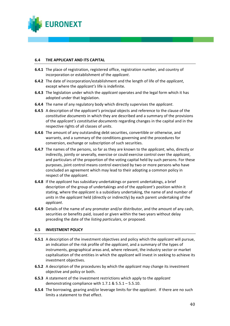

#### **6.4 THE APPLICANT AND ITS CAPITAL**

- **6.4.1** The place of registration, registered office, registration number, and country of incorporation or establishment of the *applicant*.
- **6.4.2** The date of incorporation/establishment and the length of life of the *applicant*, except where the *applicant's* life is indefinite.
- **6.4.3** The legislation under which the *applicant* operates and the legal form which it has adopted under that legislation.
- **6.4.4** The name of any regulatory body which directly supervises the *applicant*.
- **6.4.5** A description of the *applicant's* principal objects and reference to the clause of the *constitutive documents* in which they are described and a summary of the provisions of the *applicant's constitutive documents* regarding changes in the capital and in the respective rights of all classes of *units*.
- **6.4.6** The amount of any outstanding debt securities, convertible or otherwise, and warrants, and a summary of the conditions governing and the procedures for conversion, exchange or subscription of such securities.
- **6.4.7** The names of the persons, so far as they are known to the *applicant*, who, directly or indirectly, jointly or severally, exercise or could exercise control over the *applicant*, and particulars of the proportion of the voting capital held by such persons. For these purposes, joint control means control exercised by two or more persons who have concluded an agreement which may lead to their adopting a common policy in respect of the *applicant*.
- **6.4.8** If the *applicant* has subsidiary undertakings or parent undertakings, a brief description of the group of undertakings and of the *applicant's* position within it stating, where the *applicant* is a subsidiary undertaking, the name of and number of *units* in the *applicant* held (directly or indirectly) by each parent undertaking of the *applicant*.
- **6.4.9** Details of the name of any promoter and/or distributor, and the amount of any cash, securities or benefits paid, issued or given within the two years without delay preceding the date of the *listing particulars*, or proposed.

## **6.5 INVESTMENT POLICY**

- **6.5.1** A description of the investment objectives and policy which the *applicant* will pursue, an indication of the risk profile of the *applicant*, and a summary of the types of instruments, geographical areas and, where relevant, the industry sector or market capitalisation of the entities in which the *applicant* will invest in seeking to achieve its investment objectives.
- **6.5.2** A description of the procedures by which the *applicant* may change its investment objective and policy or both.
- **6.5.3** A statement of the investment restrictions which apply to the *applicant* demonstrating compliance with 1.7.1 & 5.5.1 – 5.5.10.
- **6.5.4** The borrowing, gearing and/or leverage limits for the *applicant*. If there are no such limits a statement to that effect.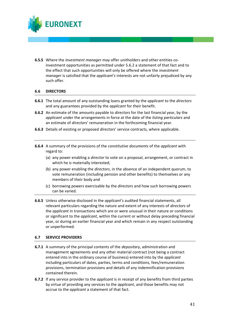

**6.5.5** Where the *investment manager* may offer unitholders and other entities coinvestment opportunities as permitted under 5.6.2 a statement of that fact and to the effect that such opportunities will only be offered where the *investment manager* is satisfied that the *applicant's* interests are not unfairly prejudiced by any such offer.

### **6.6 DIRECTORS**

- **6.6.1** The total amount of any outstanding loans granted by the *applicant* to the *directors* and any guarantees provided by the *applicant* for their benefit.
- **6.6.2** An estimate of the amounts payable to *directors* for the last financial year, by the *applicant* under the arrangements in force at the date of the *listing particulars* and an estimate of *directors*' remuneration in the forthcoming financial year.
- **6.6.3** Details of existing or proposed *directors*' service contracts, where applicable.
- **6.6.4** A summary of the provisions of the *constitutive documents* of the *applicant* with regard to:
	- (a) any power enabling a *director* to vote on a proposal, arrangement, or contract in which he is materially interested;
	- (b) any power enabling the *directors*, in the absence of an independent quorum, to vote remuneration (including pension and other benefits) to themselves or any members of their body and
	- (c) borrowing powers exercisable by the *directors* and how such borrowing powers can be varied.
- **6.6.5** Unless otherwise disclosed in the *applicant's* audited financial statements, all relevant particulars regarding the nature and extent of any interests of *directors* of the *applicant* in transactions which are or were unusual in their nature or conditions or significant to the *applicant*, within the current or without delay preceding financial year, or during an earlier financial year and which remain in any respect outstanding or unperformed.

#### **6.7 SERVICE PROVIDERS**

- **6.7.1** A summary of the principal contents of the *depositary*, administration and management agreements and any other material contract (not being a contract entered into in the ordinary course of business) entered into by the *applicant* including particulars of dates, parties, terms and conditions, fees/remuneration provisions, termination provisions and details of any indemnification provisions contained therein.
- **6.7.2** If any service provider to the *applicant* is in receipt of any benefits from third parties by virtue of providing any services to the *applicant*, and those benefits may not accrue to the *applicant* a statement of that fact.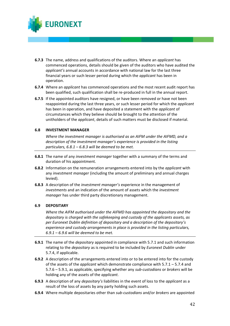

- **6.7.3** The name, address and qualifications of the auditors. Where an *applicant* has commenced operations, details should be given of the auditors who have audited the *applicant's* annual accounts in accordance with national law for the last three financial years or such lesser period during which the *applicant* has been in operation.
- **6.7.4** Where an *applicant* has commenced operations and the most recent audit report has been qualified, such qualification shall be re-produced in full in the annual report.
- **6.7.5** If the appointed auditors have resigned, or have been removed or have not been reappointed during the last three years, or such lesser period for which the *applicant* has been in operation, and have deposited a statement with the *applicant* of circumstances which they believe should be brought to the attention of the unitholders of the *applicant*, details of such matters must be disclosed if material.

### **6.8 INVESTMENT MANAGER**

*Where the investment manager is authorised as an AIFM under the AIFMD, and a description of the investment manager's experience is provided in the listing particulars, 6.8.1 – 6.8.3 will be deemed to be met.* 

- **6.8.1** The name of any *investment manager* together with a summary of the terms and duration of his appointment.
- **6.8.2** Information on the remuneration arrangements entered into by the *applicant* with any *investment manager* (including the amount of preliminary and annual charges levied).
- **6.8.3** A description of the *investment manager's* experience in the management of *investments* and an indication of the amount of assets which the *investment manager* has under third party discretionary management.

## **6.9 DEPOSITARY**

*Where the AIFM authorised under the AIFMD has appointed the depositary and the depositary is charged with the safekeeping and custody of the applicants assets, as per Euronext Dublin definition of depositary and a description of the depositary's experience and custody arrangements in place is provided in the listing particulars, 6.9.1 – 6.9.6 will be deemed to be met.*

- **6.9.1** The name of the *depositary* appointed in compliance with 5.7.1 and such information relating to the *depositary* as is required to be included by *Euronext Dublin* under 5.7.4, if applicable.
- **6.9.2** A description of the arrangements entered into or to be entered into for the custody of the assets of the *applicant* which demonstrate compliance with 5.7.1 – 5.7.4 and 5.7.6 – 5.9.1, as applicable, specifying whether any *sub-custodians* or *brokers* will be holding any of the assets of the *applicant*.
- **6.9.3** A description of any *depositary's* liabilities in the event of loss to the *applicant* as a result of the loss of assets by any party holding such assets.
- **6.9.4** Where multiple depositaries other than *sub-custodians* and/or *brokers* are appointed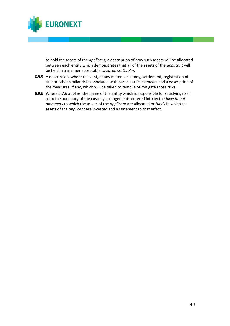

to hold the assets of the *applicant*, a description of how such assets will be allocated between each entity which demonstrates that all of the assets of the *applicant* will be held in a manner acceptable to *Euronext Dublin*.

- **6.9.5** A description, where relevant, of any material custody, settlement, registration of title or other similar risks associated with particular *investments* and a description of the measures, if any, which will be taken to remove or mitigate those risks.
- **6.9.6** Where 5.7.6 applies, the name of the entity which is responsible for satisfying itself as to the adequacy of the custody arrangements entered into by the *investment managers* to which the assets of the *applicant* are allocated or *funds* in which the assets of the *applicant* are invested and a statement to that effect.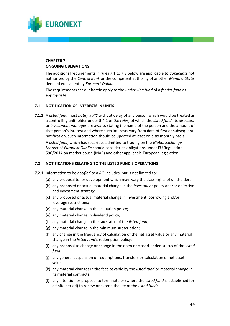

#### **CHAPTER 7 ONGOING OBLIGATIONS**

The additional requirements in rules 7.1 to 7.9 below are applicable to *applicants* not authorised by the *Central Bank* or the competent authority of another *Member State* deemed equivalent by *Euronext Dublin*.

The requirements set out herein apply to the *underlying fund* of a *feeder fund* as appropriate.

### **7.1 NOTIFICATION OF INTERESTS IN UNITS**

**7.1.1** A *listed fund* must *notify* a *RIS* without delay of any person which would be treated as a controlling unitholder under 5.4.1 of *the rules,* of which the *listed fund*, its *directors* or *investment manager* are aware, stating the name of the person and the amount of that person's interest and where such interests vary from date of first or subsequent notification, such information should be updated at least on a six monthly basis.

A *listed fund*, which has securities admitted to trading on the *Global Exchange Market* of *Euronext Dublin* should consider its obligations under EU Regulation 596/2014 on market abuse (MAR) and other applicable European legislation.

#### **7.2 NOTIFICATIONS RELATING TO THE LISTED FUND'S OPERATIONS**

- **7.2.1** Information to be *notified* to a *RIS* includes, but is not limited to;
	- (a) any proposal to, or development which may, vary the class rights of unitholders;
	- (b) any proposed or actual material change in the *investment* policy and/or objective and investment strategy;
	- (c) any proposed or actual material change in investment, borrowing and/or leverage restrictions;
	- (d) any material change in the valuation policy;
	- (e) any material change in dividend policy;
	- (f) any material change in the tax status of the *listed fund;*
	- (g) any material change in the minimum subscription;
	- (h) any change in the frequency of calculation of the net asset value or any material change in the *listed fund's* redemption policy;
	- (i) any proposal to change or change in the open or closed-ended status of the *listed fund*;
	- (j) any general suspension of redemptions, transfers or calculation of net asset value;
	- (k) any material changes in the fees payable by the *listed fund* or material change in its material contracts;
	- (l) any intention or proposal to terminate or (where the *listed fund* is established for a finite period) to renew or extend the life of the *listed fund*;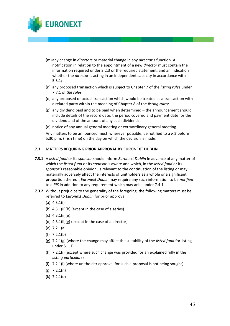

- (m) any change in *directors* or material change in any *director*'s function. A notification in relation to the appointment of a new *director* must contain the information required under 2.2.3 or the required statement, and an indication whether the *director* is acting in an independent capacity in accordance with 5.3.1;
- (n) any proposed transaction which is subject to Chapter 7 of the *listing rules* under 7.7.1 of *the rules;*
- (o) any proposed or actual transaction which would be treated as a transaction with a related party within the meaning of Chapter 8 of the *listing rules;*
- (p) any dividend paid and to be paid when determined the announcement should include details of the record date, the period covered and payment date for the dividend and of the amount of any such dividend;
- (q) notice of any annual general meeting or extraordinary general meeting.

Any matters to be announced must, wherever possible, be notified to a *RIS* before 5.30 p.m. (Irish time) on the day on which the decision is made.

### **7.3 MATTERS REQUIRING PRIOR APPROVAL BY EURONEXT DUBLIN**

- **7.3.1** A *listed fund* or its *sponsor* should inform *Euronext Dublin* in advance of any matter of which the *listed fund* or its *sponsor* is aware and which, in the *listed fund* or its *sponsor's* reasonable opinion, is relevant to the continuation of the listing or may materially adversely affect the interests of unitholders as a whole or a significant proportion thereof. *Euronext Dublin* may require any such information to be *notified* to a *RIS* in addition to any requirement which may arise under 7.4.1.
- **7.3.2** Without prejudice to the generality of the foregoing, the following matters must be referred to *Euronext Dublin* for prior approval:
	- (a) 4.3.1(i)
	- (b) 4.3.1(ii)(b) (except in the case of a series)
	- (c) 4.3.1(ii)(e)
	- (d) 4.3.1(ii)(g) (except in the case of a director)
	- (e) 7.2.1(a)
	- (f) 7.2.1(b)
	- (g) 7.2.1(g) (where the change may affect the suitability of the *listed fund* for listing under 5.1.1)
	- (h) 7.2.1(i) (except where such change was provided for an explained fully in the *listing particulars*)
	- (i) 7.2.1(l) (where unitholder approval for such a proposal is not being sought)
	- $(j)$  7.2.1(n)
	- (k) 7.2.1(o)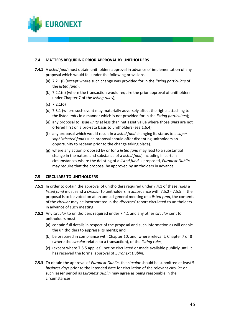

### **7.4 MATTERS REQUIRING PRIOR APPROVAL BY UNITHOLDERS**

- **7.4.1** A *listed fund* must obtain unitholders approval in advance of implementation of any proposal which would fall under the following provisions:
	- (a) 7.2.1(i) (except where such change was provided for in the *listing particulars* of the *listed fund*);
	- (b) 7.2.1(n) (where the transaction would require the prior approval of unitholders under Chapter 7 of the *listing rules*);
	- (c) 7.2.1(o)
	- (d) 7.3.1 (where such event may materially adversely affect the rights attaching to the listed *units* in a manner which is not provided for in the *listing particulars*);
	- (e) any proposal to issue *units* at less than net asset value where those *units* are not offered first on a pro-rata basis to unitholders (see 1.6.4).
	- (f) any proposal which would result in a *listed fund* changing its status to a *super sophisticated fund* (such proposal should offer dissenting unitholders an opportunity to redeem prior to the change taking place).
	- (g) where any action proposed by or for a *listed fund* may lead to a substantial change in the nature and substance of a *listed fund*, including in certain circumstances where the delisting of a *listed fund* is proposed, *Euronext Dublin* may require that the proposal be approved by unitholders in advance.

#### **7.5 CIRCULARS TO UNITHOLDERS**

- **7.5.1** In order to obtain the approval of unitholders required under 7.4.1 of these *rules* a *listed fund* must send a *circular* to unitholders in accordance with 7.5.2 - 7.5.5. If the proposal is to be voted on at an annual general meeting of a *listed fund*, the contents of the *circular* may be incorporated in the *directors'* report circulated to unitholders in advance of such meeting.
- **7.5.2** Any *circular* to unitholders required under 7.4.1 and any other *circular* sent to unitholders must:
	- (a) contain full details in respect of the proposal and such information as will enable the unitholders to appraise its merits; and
	- (b) be prepared in compliance with Chapter 10, and, where relevant, Chapter 7 or 8 (where the *circular* relates to a transaction), of the *listing rules*;
	- (c) (except where 7.5.5 applies), not be circulated or made available publicly until it has received the formal approval of *Euronext Dublin.*
- **7.5.3** To obtain the approval of *Euronext Dublin*, the *circular* should be submitted at least 5 *business days* prior to the intended date for circulation of the relevant *circular* or such lesser period as *Euronext Dublin* may agree as being reasonable in the circumstances.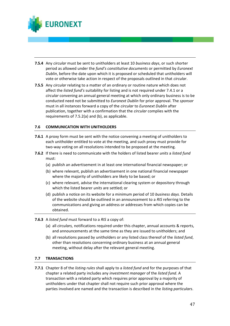

- **7.5.4** Any *circular* must be sent to unitholders at least 10 *business days*, or such shorter period as allowed under the *fund's constitutive documents* or permitted by *Euronext Dublin*, before the date upon which it is proposed or scheduled that unitholders will vote or otherwise take action in respect of the proposals outlined in that *circular*.
- **7.5.5** Any *circular* relating to a matter of an ordinary or routine nature which does not affect the *listed fund's* suitability for listing and is not required under 7.4.1 or a *circular* convening an annual general meeting at which only ordinary business is to be conducted need not be submitted to *Euronext Dublin* for prior approval. The *sponsor*  must in all instances forward a copy of the *circular* to *Euronext Dublin* after publication, together with a confirmation that the *circular* complies with the requirements of 7.5.2(a) and (b), as applicable.

### **7.6 COMMUNICATION WITH UNITHOLDERS**

- **7.6.1** A proxy form must be sent with the notice convening a meeting of unitholders to each unitholder entitled to vote at the meeting, and such proxy must provide for two-way voting on all resolutions intended to be proposed at the meeting.
- **7.6.2** If there is need to communicate with the holders of listed bearer *units* a *listed fund* must:
	- (a) publish an advertisement in at least one international financial newspaper; or
	- (b) where relevant, publish an advertisement in one national financial newspaper where the majority of unitholders are likely to be based; or
	- (c) where relevant, advise the international clearing system or depository through which the listed bearer *units* are settled; or
	- (d) publish a notice on its website for a minimum period of 10 *business days.* Details of the website should be outlined in an announcement to a *RIS* referring to the communications and giving an address or addresses from which copies can be obtained.
- **7.6.3** A *listed fund* must forward to a *RIS* a copy of:
	- (a) all *circulars,* notifications required under this chapter, annual accounts & reports, and announcements at the same time as they are issued to unitholders; and
	- (b) all resolutions passed by unitholders or any listed class thereof of the *listed fund*, other than resolutions concerning ordinary business at an annual general meeting, without delay after the relevant general meeting.

#### **7.7 TRANSACTIONS**

**7.7.1** Chapter 8 of the *listing rules* shall apply to a *listed fund* and for the purposes of that chapter a related party includes any *investment manager* of the *listed fund*. A transaction with a related party which requires prior approval by a majority of unitholders under that chapter shall not require such prior approval where the parties involved are named and the transaction is described in the *listing particulars*.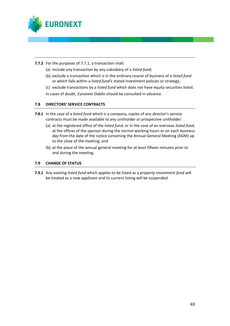

**7.7.2** For the purposes of 7.7.1, a transaction shall:

- (a) include any transaction by any subsidiary of a *listed fund*;
- (b) exclude a transaction which is in the ordinary course of business of a *listed fund* or which falls within a *listed fund's* stated investment policies or strategy;
- (c) exclude transactions by a *listed fund* which does not have equity securities listed.
- In cases of doubt, *Euronext Dublin* should be consulted in advance.

### **7.8 DIRECTORS' SERVICE CONTRACTS**

- **7.8.1** In the case of a *listed fund* which is a company, copies of any *director*'s service contracts must be made available to any unitholder or prospective unitholder:
	- (a) at the registered office of the *listed fund*, or in the case of an overseas *listed fund*, at the offices of the *sponsor* during the normal working hours or on each *business day* from the date of the notice convening the Annual General Meeting (AGM) up to the close of the meeting; and
	- (b) at the place of the annual general meeting for at least fifteen minutes prior to and during the meeting.

## **7.9 CHANGE OF STATUS**

**7.9.1** Any existing *listed fund* which applies to be listed as a *property investment fund* will be treated as a new *applicant* and its current listing will be suspended.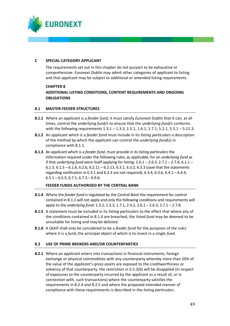

## **C SPECIAL CATEGORY APPLICANT**

The requirements set out in this chapter do not purport to be exhaustive or comprehensive. *Euronext Dublin* may admit other categories of *applicant* to listing and that *applicant* may be subject to additional or amended listing requirements.

**CHAPTER 8 ADDITIONAL LISTING CONDITIONS, CONTENT REQUIREMENTS AND ONGOING OBLIGATIONS**

### **8.1 MASTER-FEEDER STRUCTURES**

- **8.1.1** Where an *applicant* is a *feeder fund*, it must satisfy *Euronext Dublin* that it can, at all times, control the *underlying fund/s* to ensure that the *underlying fund/s* conforms with the following requirements 1.3.1 – 1.3.3, 1.5.1, 1.6.1, 1.7.1, 5.2.1, 5.5.1 – 5.11.3.
- **8.1.2** An *applicant* which is a *feeder fund* must include in its *listing particulars* a description of the method by which the *applicant* can control the *underlying fund*(s) in compliance with 8.1.1.
- **8.1.3** An *applicant* which is a *feeder fund*, must provide in its *listing particulars* the information required under the following rules, as applicable, for an *underlying fund* as if that *underlying fund* were itself applying for listing: 2.6.1 – 2.6.3, 2.7.1 – 2.7.8, 6.1.1 – 6.1.3, 6.1.5 – 6.1.6, 6.2.6, 6.2.11 – 6.2.13, 6.3.1, 6.3.2, 6.3.3 (save that the statements regarding notification in 6.3.1 and 6.3.3 are not required), 6.3.4, 6.3.6, 6.4.1 – 6.4.4,  $6.5.1 - 6.5.5, 6.7.1, 6.7.3 - 6.9.6$ .

## **FEEDER FUNDS AUTHORISED BY THE CENTRAL BANK**

- **8.1.4** Where the *feeder fund* is regulated by the *Central Bank* the requirement for control contained in 8.1.1 will not apply and only the following conditions and requirements will apply to the *underlying fund*: 1.3.2, 1.3.3, 1.7.1, 2.4.2, 2.6.1 – 2.6.3, 2.7.1 – 2.7.8.
- **8.1.5** A statement must be included in its *listing particulars* to the effect that where any of the conditions contained in 8.1.4 are breached, the *listed fund* may be deemed to be unsuitable for listing and may be delisted.
- **8.1.6** A *QIAIF* shall only be considered to be a *feeder fund* for the purposes of *the rules* where it is a *fund*, the principal object of which is to invest in a single *fund*.

#### **8.2 USE OF PRIME BROKERS AND/OR COUNTERPARTIES**

**8.2.1** Where an *applicant* enters into transactions in financial instruments, foreign exchange or physical commodities with any counterparty whereby more than 20% of the value of the *applicant's gross assets* are exposed to the creditworthiness or solvency of that counterparty, the restriction in 5.5.2(b) will be disapplied (in respect of exposures to the counterparty incurred by the *applicant* as a result of, or in connection with, such transactions) where the counterparty satisfies the requirements in 8.2.4 and 8.2.5 and where the proposed intended manner of compliance with these requirements is described in the *listing particulars*.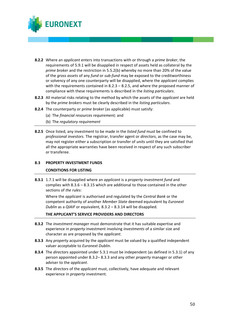

- **8.2.2** Where an *applicant* enters into transactions with or through a *prime broker*, the requirements of 5.9.1 will be disapplied in respect of assets held as collateral by the *prime broker* and the restriction in 5.5.2(b) whereby no more than 20% of the value of the *gross assets* of any *fund* or *sub-fund* may be exposed to the creditworthiness or solvency of any one counterparty will be disapplied, where the *applicant* complies with the requirements contained in 8.2.3 – 8.2.5, and where the proposed manner of compliance with these requirements is described in the *listing particulars*.
- **8.2.3** All material risks relating to the method by which the assets of the *applicant* are held by the *prime brokers* must be clearly described in the *listing particulars*.
- **8.2.4** The counterparty or *prime broker* (as applicable) must satisfy:
	- (a) The *financial resources requirement;* and
	- (b) The *regulatory requirement*
- **8.2.5** Once listed, any investment to be made in the *listed fund* must be confined to *professional investors.* The registrar, transfer agent or *directors*, as the case may be, may not register either a subscription or transfer of *units* until they are satisfied that all the appropriate warranties have been received in respect of any such subscriber or transferee.

#### **8.3 PROPERTY INVESTMENT FUNDS**

#### **CONDITIONS FOR LISTING**

**8.3.1** 1.7.1 will be disapplied where an *applicant* is a *property investment fund* and complies with 8.3.6 – 8.3.15 which are additional to those contained in the other sections of *the rules*:

Where the *applicant* is authorised and regulated by the *Central Bank* or the competent authority of another *Member State* deemed equivalent by *Euronext Dublin* as a *QIAIF* or equivalent*,* 8.3.2 – 8.3.14 will be disapplied.

#### **THE APPLICANT'S SERVICE PROVIDERS AND DIRECTORS**

- **8.3.2** The *investment manager* must demonstrate that it has suitable expertise and experience in *property* investment involving *investments* of a similar size and character as are proposed by the *applicant*.
- **8.3.3** Any *property* acquired by the *applicant* must be valued by a qualified independent valuer acceptable to *Euronext Dublin*.
- **8.3.4** The *directors* appointed under 5.3.1 must be independent (as defined in 5.3.1) of any person appointed under 8.3.2– 8.3.3 and any other *property* manager or other adviser to the *applicant*.
- **8.3.5** The *directors* of the *applicant* must, collectively, have adequate and relevant experience in *property* investment.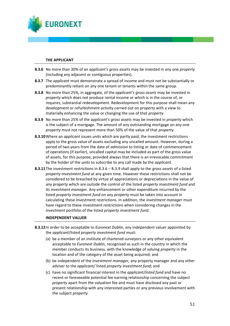

#### **THE APPLICANT**

- **8.3.6** No more than 30% of an *applicant's gross assets* may be invested in any one *property* (including any adjacent or contiguous properties).
- **8.3.7** The *applicant* must demonstrate a spread of income and must not be substantially or predominantly reliant on any one tenant or tenants within the same group.
- **8.3.8** No more than 25%, in aggregate, of the *applicant's gross assets* may be invested in *property* which does not produce rental income or which is in the course of, or requires, substantial redevelopment. Redevelopment for this purpose shall mean any development or refurbishment activity carried out on *property* with a view to materially enhancing the value or changing the use of that *property*.
- **8.3.9** No more than 25% of the *applicant's gross assets* may be invested in *property* which is the subject of a mortgage. The amount of any outstanding mortgage on any one *property* must not represent more than 50% of the value of that *property*.
- **8.3.10**Where an *applicant* issues *units* which are partly paid, the investment restrictions apply to the gross value of assets excluding any uncalled amount. However, during a period of two years from the date of *admission* to listing or date of commencement of operations (if earlier), uncalled capital may be included as part of the gross value of assets, for this purpose, provided always that there is an irrevocable commitment by the holder of the *units* to subscribe to any call made by the *applicant*.
- **8.3.11**The investment restrictions in 8.3.6 8.3.9 shall apply to the *gross assets* of a listed *property investment fund* at any given time. However these restrictions shall not be considered to be breached by virtue of appreciations or depreciations in the value of any *property* which are outside the control of the listed *property investment fund* and its *investment manager.* Any enhancement or other expenditure incurred by the listed *property investment fund* on any *property* must be taken into account in calculating these investment restrictions. In addition, the *investment manager* must have regard to these investment restrictions when considering changes in the *investment* portfolio of the listed *property investment fund*.

#### **INDEPENDENT VALUER**

- **8.3.12**In order to be acceptable to *Euronext Dublin*, any independent valuer appointed by the *applicant*/listed *property investment fund* must:
	- (a) be a member of an institute of chartered surveyors or any other equivalent acceptable to *Euronext Dublin*, recognised as such in the country in which the member conducts its business, with the knowledge of valuing *property* in the location and of the category of the asset being acquired; and
	- (b) be independent of the *investment manager,* any property manager and any other adviser to the *applicant/* listed *property investment fund*; and
	- (c) have no significant financial interest in the *applicant*/*listed fund* and have no recent or foreseeable potential fee earning relationship concerning the subject *property* apart from the valuation fee and must have disclosed any past or present relationship with any interested parties or any previous involvement with the subject *property.*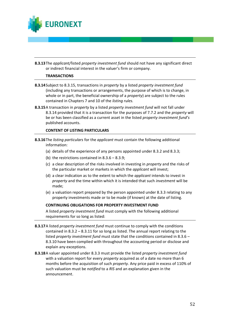

**8.3.13**The *applicant/*listed *property investment fund* should not have any significant direct or indirect financial interest in the valuer's firm or company.

#### **TRANSACTIONS**

- **8.3.14**Subject to 8.3.15, transactions in *property* by a listed *property investment fund* (including any transactions or arrangements, the purpose of which is to change, in whole or in part, the beneficial ownership of a *property*) are subject to the rules contained in Chapters 7 and 10 of the *listing rules.*
- **8.3.15**A transaction in *property* by a listed *property investment fund* will not fall under 8.3.14 provided that it is a transaction for the purposes of 7.7.2 and the *property* will be or has been classified as a current asset in the listed *property investment fund's* published accounts.

#### **CONTENT OF LISTING PARTICULARS**

- **8.3.16**The *listing particulars* for the *applicant* must contain the following additional information:
	- (a) details of the experience of any persons appointed under 8.3.2 and 8.3.3;
	- (b) the restrictions contained in 8.3.6 8.3.9;
	- (c) a clear description of the risks involved in investing in *property* and the risks of the particular market or markets in which the *applicant* will invest;
	- (d) a clear indication as to the extent to which the *applicant* intends to invest in *property* and the time within which it is intended that such *investment* will be made;
	- (e) a valuation report prepared by the person appointed under 8.3.3 relating to any property investments made or to be made (if known) at the date of listing.

## **CONTINUING OBLIGATIONS FOR PROPERTY INVESTMENT FUND**

A listed *property investment fund* must comply with the following additional requirements for so long as listed:

- **8.3.17**A listed *property investment fund* must continue to comply with the conditions contained in  $8.3.2 - 8.3.11$  for so long as listed. The annual report relating to the listed *property investment fund* must state that the conditions contained in 8.3.6 – 8.3.10 have been complied with throughout the accounting period or disclose and explain any exceptions.
- **8.3.18**A valuer appointed under 8.3.3 must provide the listed *property investment fund* with a valuation report for every *property* acquired as of a date no more than 6 months before the acquisition of such *property.* Any price paid in excess of 110% of such valuation must be *notified* to a *RIS* and an explanation given in the announcement.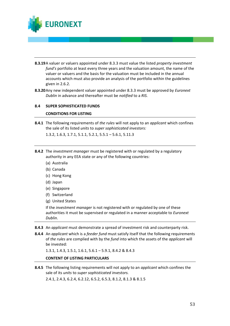

- **8.3.19**A valuer or valuers appointed under 8.3.3 must value the listed *property investment fund's* portfolio at least every three years and the valuation amount, the name of the valuer or valuers and the basis for the valuation must be included in the annual accounts which must also provide an analysis of the portfolio within the guidelines given in 2.6.2.
- **8.3.20**Any new independent valuer appointed under 8.3.3 must be approved by *Euronext Dublin* in advance and thereafter must be *notified* to a *RIS.*

#### **8.4 SUPER SOPHISTICATED FUNDS**

#### **CONDITIONS FOR LISTING**

**8.4.1** The following requirements of *the rules* will not apply to an *applicant* which confines the sale of its listed *units* to *super sophisticated investors:* 

1.3.2, 1.6.3, 1.7.1, 5.1.1, 5.2.1, 5.5.1 – 5.6.1, 5.11.3

- **8.4.2** The *investment manager* must be registered with or regulated by a regulatory authority in any EEA state or any of the following countries:
	- (a) Australia
	- (b) Canada
	- (c) Hong Kong
	- (d) Japan
	- (e) Singapore
	- (f) Switzerland
	- (g) United States

If the *investment manager* is not registered with or regulated by one of these authorities it must be supervised or regulated in a manner acceptable to *Euronext Dublin*.

- **8.4.3** An *applicant* must demonstrate a spread of investment risk and counterparty risk.
- **8.4.4** An *applicant* which is a *feeder fund* must satisfy itself that the following requirements of *the rules* are complied with by the *fund* into which the assets of the *applicant* will be invested:

1.3.1, 1.4.3, 1.5.1, 1.6.1, 5.6.1 – 5.9.1, 8.4.2 & 8.4.3

#### **CONTENT OF LISTING PARTICULARS**

**8.4.5** The following listing requirements will not apply to an *applicant* which confines the sale of its *units* to *super sophisticated investors.*  2.4.1, 2.4.3, 6.2.4, 6.2.12, 6.5.2, 6.5.3, 8.1.2, 8.1.3 & 8.1.5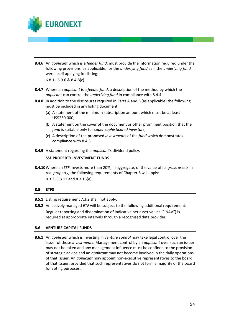

**8.4.6** An *applicant* which is a *feeder fund*, must provide the information required under the following provisions, as applicable, for the *underlying fund* as if the *underlying fund* were itself applying for listing:

6.8.1– 6.9.6 & 8.4.8(c)

- **8.4.7** Where an *applicant* is a *feeder fund*, a description of the method by which the *applicant* can control the *underlying fund* in compliance with 8.4.4
- **8.4.8** In addition to the disclosures required in Parts A and B (as applicable) the following must be included in any listing document:
	- (a) A statement of the minimum subscription amount which must be at least US\$250,000;
	- (b) A statement on the cover of the document or other prominent position that the *fund* is suitable only for *super sophisticated investors;*
	- (c) A description of the proposed *investments* of the *fund* which demonstrates compliance with 8.4.3.

**8.4.9** A statement regarding the *applicant's* dividend policy.

#### **SSF PROPERTY INVESTMENT FUNDS**

**8.4.10**Where an *SSF* invests more than 20%, in aggregate, of the value of its *gross assets* in real *property,* the following requirements of Chapter 8 will apply: 8.3.3, 8.3.12 and 8.3.16(e).

#### **8.5 ETFS**

**8.5.1** Listing requirement 7.3.2 shall not apply.

**8.5.2** An actively managed *ETF* will be subject to the following additional requirement: Regular reporting and dissemination of indicative net asset values ("iNAV") is required at appropriate intervals through a recognised data provider.

#### **8.6 VENTURE CAPITAL FUNDS**

**8.6.1** An *applicant* which is investing in *venture capital* may take legal control over the issuer of those *investments*. Management control by an *applicant* over such an issuer may not be taken and any management influence must be confined to the provision of strategic advice and an *applicant* may not become involved in the daily operations of that issuer. An *applicant* may appoint non-executive representatives to the board of that issuer, provided that such representatives do not form a majority of the board for voting purposes.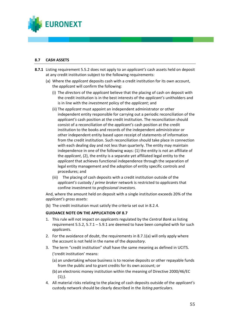

## **8.7 CASH ASSETS**

- **8.7.1** Listing requirement 5.5.2 does not apply to an *applicant's* cash assets held on deposit at any credit institution subject to the following requirements:
	- (a) Where the *applicant* deposits cash with a credit institution for its own account, the *applicant* will confirm the following:
		- (i) The *directors* of the *applicant* believe that the placing of cash on deposit with the credit institution is in the best interests of the *applicant's* unitholders and is in line with the *investment* policy of the *applicant*; and
		- (ii) The *applicant* must appoint an independent administrator or other independent entity responsible for carrying out a periodic reconciliation of the *applicant's* cash position at the credit institution. The reconciliation should consist of a reconciliation of the *applicant's* cash position at the credit institution to the books and records of the independent administrator or other independent entity based upon receipt of statements of information from the credit institution. Such reconciliation should take place in connection with each dealing day and not less than quarterly. The entity may maintain independence in one of the following ways: (1) the entity is not an affiliate of the *applicant*, (2), the entity is a separate yet affiliated legal entity to the *applicant* that achieves functional independence through the separation of legal entity management and the adoption of entity specific controls and procedures; and
		- (iii) The placing of cash deposits with a credit institution outside of the *applicant's* custody / *prime broker* network is restricted to *applicant*s that confine investment to *professional investors.*

And, where the amount held on deposit with a single institution exceeds 20% of the *applicant's gross assets:* 

(b) The credit institution must satisfy the criteria set out in 8.2.4.

#### **GUIDANCE NOTE ON THE APPLICATION OF 8.7**

- 1. This rule will not impact on *applicant*s regulated by the *Central Bank* as listing requirement 5.5.2, 5.7.1 – 5.9.1 are deemed to have been complied with for such *applicant*s.
- 2. For the avoidance of doubt, the requirements in 8.7.1(a) will only apply where the account is not held in the name of the *depositary*.
- 3. The term "credit institution" shall have the same meaning as defined in UCITS. ('credit institution' means:
	- (a) an undertaking whose business is to receive deposits or other repayable funds from the public and to grant credits for its own account; or
	- (b) an electronic money institution within the meaning of Directive 2000/46/EC  $(1);$
- 4. All material risks relating to the placing of cash deposits outside of the *applicant's* custody network should be clearly described in the *listing particulars.*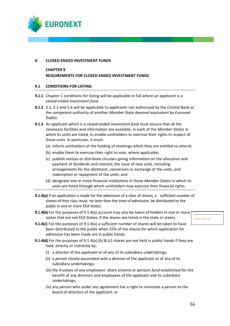

#### **D CLOSED-ENDED INVESTMENT FUNDS**

## **CHAPTER 9 REQUIREMENTS FOR CLOSED-ENDED INVESTMENT FUNDS**

#### **9.1 CONDITIONS FOR LISTING**

- **9.1.1** Chapter 1 conditions for listing will be applicable in full where an *applicant* is a *closed-ended investment fund.*
- **9.1.2** 5.1, 5.3 and 5.4 will be applicable to *applicants* not authorised by the *Central Bank* or the competent authority of another *Member State* deemed equivalent by *Euronext Dublin*.
- **9.1.3** An *applicant* which is a *closed-ended investment fund* must ensure that all the necessary facilities and information are available, in each of the *Member States* in which its *units* are listed, to enable unitholders to exercise their rights in respect of those *units*. In particular, it must:
	- (a) inform unitholders of the holding of meetings which they are entitled to attend;
	- (b) enable them to exercise their right to vote, where applicable;
	- (c) publish notices or distribute circulars giving information on the allocation and payment of dividends and interest; the issue of new *units*, including arrangements for the allotment, conversion or exchange of the *units*; and redemption or repayment of the *units*; and
	- (d) designate one or more financial institutions in those *Member States* in which its *units* are listed through which unitholders may exercise their financial rights.
- **9.1.4(a)** If an application is made for the *admission* of a class of shares*,* a sufficient number of shares of that class must, no later than the time of *admission*, be distributed to the public in one or more EEA States.
- **9.1.4(b)** For the purposes of 9.1.4(a) account may also be taken of holders in one or more states that are not EEA States, if the shares are listed in the state or states.
- CARD Article 48
- **9.1.4(c)** For the purposes of 9.1.4(a) a sufficient number of shares will be taken to have been distributed to the public when 25% of the shares for which application for *admission* has been made are in public hands.
- **9.1.4(d)** For the purposes of 9.1.4(a),(b) & (c) shares are not held in public hands if they are held, directly or indirectly by:
	- (i) a *director* of the *applicant* or of any of its subsidiary undertakings;
	- (ii) a *person closely associated* with a *director* of the *applicant* or of any of its subsidiary undertakings;
	- (iii) the trustees of any employees' share scheme or pension *fund* established for the benefit of any *directors* and employees of the *applicant* and its subsidiary undertakings;
	- (iv) any person who under any agreement has a right to nominate a person to the board of *directors* of the *applicant*; or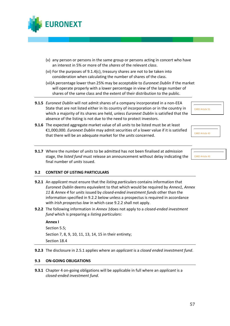

- (v) any person or persons in the same group or persons acting in concert who have an interest in 5% or more of the *shares* of the relevant *class*.
- (vi) For the purposes of 9.1.4(c), treasury shares are not to be taken into consideration when calculating the number of shares of the class.
- (vii)A percentage lower than 25% may be acceptable to *Euronext Dublin* if the market will operate properly with a lower percentage in view of the large number of shares of the same class and the extent of their distribution to the public.
- **9.1.5** *Euronext Dublin* will not admit shares of a company incorporated in a non-EEA State that are not listed either in its country of incorporation or in the country in which a majority of its shares are held, unless *Euronext Dublin* is satisfied that the absence of the listing is not due to the need to protect investors.



- **9.1.6** The expected aggregate market value of all *units* to be listed must be at least €1,000,000. *Euronext Dublin* may admit securities of a lower value if it is satisfied that there will be an adequate market for the *units* concerned.
	- **9.1.7** Where the number of *units* to be admitted has not been finalised at *admission* stage, the *listed fund* must release an announcement without delay indicating the final number of *units* issued.

CARD Article 43

CARD Article 43

## **9.2 CONTENT OF LISTING PARTICULARS**

- **9.2.1** An *applicant* must ensure that the *listing particulars* contains information that *Euronext Dublin* deems equivalent to that which would be required by *Annex1, Annex 11 & Annex 4* for *units* issued by *closed-ended investment funds* other than the information specified in 9.2.2 below unless a prospectus is required in accordance with *Irish prospectus law* in which case 9.2.2 shall not apply.
- **9.2.2** The following information in *Annex 1*does not apply to a *closed-ended investment fund* which is preparing a *listing particulars*:

#### **Annex I**

Section 5.5; Section 7, 8, 9, 10, 11, 13, 14, 15 in their entirety; Section 18.4

**9.2.3** The disclosure in 2.5.1 applies where an *applicant* is a *closed ended investment fund*.

#### **9.3 ON-GOING OBLIGATIONS**

**9.3.1** Chapter 4 on-going obligations will be applicable in full where an *applicant* is a *closed-ended investment fund*.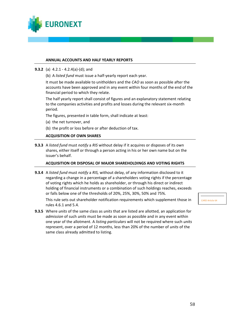

#### **ANNUAL ACCOUNTS AND HALF YEARLY REPORTS**

- **9.3.2** (a) 4.2.1 4.2.4(a)-(d); and
	- (b) A *listed fund* must issue a half-yearly report each year.

It must be made available to unitholders and the *CAO* as soon as possible after the accounts have been approved and in any event within four months of the end of the financial period to which they relate.

The half yearly report shall consist of figures and an explanatory statement relating to the companies activities and profits and losses during the relevant six-month period.

The figures, presented in table form, shall indicate at least:

- (a) the net turnover, and
- (b) the profit or loss before or after deduction of tax.

## **ACQUISITION OF OWN SHARES**

**9.3.3** A *listed fund* must *notify* a *RIS* without delay if it acquires or disposes of its own shares, either itself or through a person acting in his or her own name but on the issuer's behalf.

#### **ACQUISITION OR DISPOSAL OF MAJOR SHAREHOLDINGS AND VOTING RIGHTS**

**9.3.4** A *listed fund* must *notify* a *RIS,* without delay, of any information disclosed to it regarding a change in a percentage of a shareholders voting rights if the percentage of voting rights which he holds as shareholder, or through his direct or indirect holding of financial instruments or a combination of such holdings reaches, exceeds or falls below one of the thresholds of 20%, 25%, 30%, 50% and 75%.

This rule sets out shareholder notification requirements which supplement those in rules 4.6.1 and 5.4.

**9.3.5** Where *units* of the same class as *units* that are listed are allotted, an application for *admission* of such *units* must be made as soon as possible and in any event within one year of the allotment. A *listing particulars* will not be required where such *units* represent, over a period of 12 months, less than 20% of the number of *units* of the same class already admitted to listing.

CARD Article 64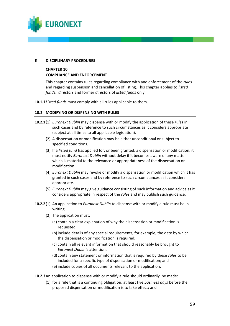

#### **E DISCIPLINARY PROCEDURES**

## **CHAPTER 10 COMPLIANCE AND ENFORCEMENT**

This chapter contains rules regarding compliance with and enforcement of the *rules* and regarding suspension and cancellation of listing. This chapter applies to *listed funds*, *directors* and former *director*s of *listed funds* only.

**10.1.1***Listed funds* must comply with all rules applicable to them.

### **10.2 MODIFYING OR DISPENSING WITH RULES**

- **10.2.1**(1) *Euronext Dublin* may dispense with or modify the application of these *rules* in such cases and by reference to such circumstances as it considers appropriate (subject at all times to all applicable legislation).
	- (2) A dispensation or modification may be either unconditional or subject to specified conditions.
	- (3) If a *listed fund* has applied for, or been granted, a dispensation or modification, it must notify *Euronext Dublin* without delay if it becomes aware of any matter which is material to the relevance or appropriateness of the dispensation or modification.
	- (4) *Euronext Dublin* may revoke or modify a dispensation or modification which it has granted in such cases and by reference to such circumstances as it considers appropriate.
	- (5) *Euronext Dublin* may give guidance consisting of such information and advice as it considers appropriate in respect of the *rules* and may publish such guidance.
- **10.2.2**(1) An application to *Euronext Dublin* to dispense with or modify a rule must be in writing.
	- (2) The application must:
		- (a) contain a clear explanation of why the dispensation or modification is requested;
		- (b) include details of any special requirements, for example, the date by which the dispensation or modification is required;
		- (c) contain all relevant information that should reasonably be brought to *Euronext Dublin'*s attention;
		- (d) contain any statement or information that is required by these *rules* to be included for a specific type of dispensation or modification; and
		- (e) include copies of all documents relevant to the application.

**10.2.3**An application to dispense with or modify a rule should ordinarily be made:

(1) for a rule that is a continuing obligation, at least five *business days* before the proposed dispensation or modification is to take effect; and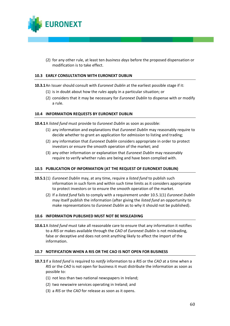

(2) for any other rule, at least ten *business days* before the proposed dispensation or modification is to take effect.

#### **10.3 EARLY CONSULTATION WITH EURONEXT DUBLIN**

**10.3.1**An Issuer should consult with *Euronext Dublin* at the earliest possible stage if it:

- (1) is in doubt about how the *rules* apply in a particular situation; or
- (2) considers that it may be necessary for *Euronext Dublin* to dispense with or modify a rule.

#### **10.4 INFORMATION REQUESTS BY EURONEXT DUBLIN**

**10.4.1**A *listed fund* must provide to *Euronext Dublin* as soon as possible:

- (1) any information and explanations that *Euronext Dublin* may reasonably require to decide whether to grant an application for *admission* to listing and trading;
- (2) any information that *Euronext Dublin* considers appropriate in order to protect investors or ensure the smooth operation of the market; and
- (3) any other information or explanation that *Euronext Dublin* may reasonably require to verify whether rules are being and have been complied with.

#### **10.5 PUBLICATION OF INFORMATION (AT THE REQUEST OF EURONEXT DUBLIN)**

- **10.5.1**(1) *Euronext Dublin* may, at any time, require a *listed fund* to publish such information in such form and within such time limits as it considers appropriate to protect investors or to ensure the smooth operation of the market.
	- (2) If a *listed fund* fails to comply with a requirement under 10.5.1(1) *Euronext Dublin* may itself publish the information (after giving the *listed fund* an opportunity to make representations to *Euronext Dublin* as to why it should not be published).

#### **10.6 INFORMATION PUBLISHED MUST NOT BE MISLEADING**

**10.6.1**A *listed fund* must take all reasonable care to ensure that any information it notifies to a *RIS* or makes available through the *CAO* of *Euronext Dublin* is not misleading, false or deceptive and does not omit anything likely to affect the import of the information.

#### **10.7 NOTIFICATION WHEN A RIS OR THE CAO IS NOT OPEN FOR BUSINESS**

- **10.7.1**If a *listed fund* is required to *notify* information to a *RIS* or the *CAO* at a time when a *RIS* or the *CAO* is not open for business it must distribute the information as soon as possible to:
	- (1) not less than two national newspapers in Ireland;
	- (2) two newswire services operating in Ireland; and
	- (3) a *RIS* or the *CAO* for release as soon as it opens.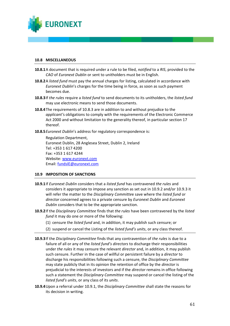

#### **10.8 MISCELLANEOUS**

- **10.8.1**A document that is required under a rule to be filed, *notified* to a *RIS*, provided to the *CAO* of *Euronext Dublin* or sent to unitholders must be in English.
- **10.8.2**A *listed fund* must pay the annual charges for listing, calculated in accordance with *Euronext Dublin*'s charges for the time being in force, as soon as such payment becomes due.
- **10.8.3**If *the rules* require a *listed fund* to send documents to its unitholders, the *listed fund* may use electronic means to send those documents.
- **10.8.4**The requirements of 10.8.3 are in addition to and without prejudice to the *applicant'*s obligations to comply with the requirements of the Electronic Commerce Act 2000 and without limitation to the generality thereof, in particular section 17 thereof.
- **10.8.5***Euronext Dublin*'s address for regulatory correspondence is:

Regulation Department, Euronext Dublin, 28 Anglesea Street, Dublin 2, Ireland Tel: +353 1 617 4200 Fax: +353 1 617 4244 Website: [www.euronext.com](http://www.euronext.com/) Email: [fundsIE@euronext.com](mailto:fundsIE@euronext.com)

#### **10.9 IMPOSITION OF SANCTIONS**

- **10.9.1**If *Euronext Dublin* considers that a *listed fund* has contravened *the rules* and considers it appropriate to impose any sanction as set out in 10.9.2 and/or 10.9.3 it will refer the matter to the *Disciplinary Committe*e save where the *listed fund* or *director* concerned agrees to a private censure by *Euronext Dublin* and *Euronext Dublin* considers that to be the appropriate sanction.
- **10.9.2**If the *Disciplinary Committee* finds that *the rules* have been contravened by the *listed fund* it may do one or more of the following:
	- (1) censure the *listed fund* and, in addition, it may publish such censure; or
	- (2) suspend or cancel the Listing of the *listed fund's units*, or any class thereof.
- **10.9.3**If the *Disciplinary Committee* finds that any contravention of *the rules* is due to a failure of all or any of the *listed fund's directors* to discharge their responsibilities under *the rules* it may censure the relevant *director* and, in addition, it may publish such censure. Further in the case of willful or persistent failure by a *director* to discharge his responsibilities following such a censure, the *Disciplinary Committee* may state publicly that in its opinion the retention of office by the *director* is prejudicial to the interests of investors and if the *director* remains in office following such a statement the *Disciplinary Committee* may suspend or cancel the listing of the *listed fund's units*, or any class of its *units*.
- **10.9.4**Upon a referral under 10.9.1, the *Disciplinary Committee* shall state the reasons for its decision in writing.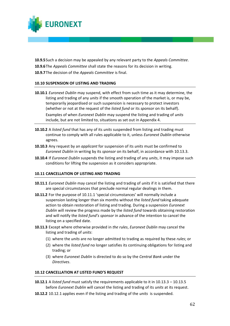

**10.9.5**Such a decision may be appealed by any relevant party to the *Appeals Committee*. **10.9.6**The *Appeals Committee* shall state the reasons for its decision in writing. **10.9.7**The decision of the *Appeals Committee* is final.

### **10.10 SUSPENSION OF LISTING AND TRADING**

- **10.10.1** *Euronext Dublin* may suspend, with effect from such time as it may determine, the listing and trading of any *units* if the smooth operation of the market is, or may be, temporarily jeopardised or such suspension is necessary to protect investors (whether or not at the request of the *listed fund* or its *sponsor* on its behalf). Examples of when *Euronext Dublin* may suspend the listing and trading of *units* include, but are not limited to, situations as set out in Appendix 4.
- **10.10.2** A *listed fund* that has any of its *units* suspended from listing and trading must continue to comply with all rules applicable to it, unless *Euronext Dublin* otherwise agrees.
- **10.10.3** Any request by an *applicant* for suspension of its *units* must be confirmed to *Euronext Dublin* in writing by its *sponsor* on its behalf, in accordance with 10.13.3.
- **10.10.4** If *Euronext Dublin* suspends the listing and trading of any *units*, it may impose such conditions for lifting the suspension as it considers appropriate.

#### **10.11 CANCELLATION OF LISTING AND TRADING**

- **10.11.1** *Euronext Dublin* may cancel the listing and trading of *units* if it is satisfied that there are special circumstances that preclude normal regular dealings in them.
- **10.11.2** For the purpose of 10.11.1 'special circumstances' will normally include a suspension lasting longer than six months without the *listed fund* taking adequate action to obtain restoration of listing and trading. During a suspension *Euronext Dublin* will review the progress made by the *listed fund* towards obtaining restoration and will notify the *listed fund's sponsor* in advance of the intention to cancel the listing on a specified date.
- **10.11.3** Except where otherwise provided in *the rules*, *Euronext Dublin* may cancel the listing and trading of *units*:
	- (1) where the *units* are no longer admitted to trading as required by these *rules*; or
	- (2) where the *listed fund* no longer satisfies its continuing obligations for listing and trading; or
	- (3) where *Euronext Dublin* is directed to do so by the *Central Bank* under the *Directives*.

#### **10.12 CANCELLATION AT LISTED FUND'S REQUEST**

- **10.12.1** A *listed fund* must satisfy the requirements applicable to it in 10.13.3 10.13.5 before *Euronext Dublin* will cancel the listing and trading of its *units* at its request.
- **10.12.2** 10.12.1 applies even if the listing and trading of the *units* is suspended.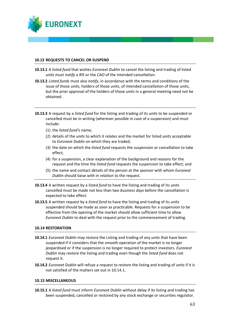

#### **10.13 REQUESTS TO CANCEL OR SUSPEND**

- **10.13.1** A *listed fund* that wishes *Euronext Dublin* to cancel the listing and trading of listed *units* must *notify* a *RIS* or the *CAO* of the intended cancellation.
- **10.13.2** *Listed funds* must also *notify*, in accordance with the terms and conditions of the issue of those *units*, holders of those *units*, of intended cancellation of those *units*, but the prior approval of the holders of those *units* in a general meeting need not be obtained.
- **10.13.3** A request by a *listed fund* for the listing and trading of its *units* to be suspended or cancelled must be in writing (wherever possible in case of a suspension) and must include:
	- (1) the *listed fund's* name;
	- (2) details of the *units* to which it relates and the market for listed *units* acceptable to *Euronext Dublin* on which they are traded;
	- (3) the date on which the *listed fund* requests the suspension or cancellation to take effect;
	- (4) for a suspension, a clear explanation of the background and reasons for the request and the time the *listed fund* requests the suspension to take effect; and
	- (5) the name and contact details of the person at the *sponsor* with whom *Euronext Dublin* should liaise with in relation to the request.
- **10.13.4** A written request by a *listed fund* to have the listing and trading of its *units* cancelled must be made not less than two *business days* before the cancellation is expected to take effect.
- **10.13.5** A written request by a *listed fund* to have the listing and trading of its *units* suspended should be made as soon as practicable. Requests for a suspension to be effective from the opening of the market should allow sufficient time to allow *Euronext Dublin* to deal with the request prior to the commencement of trading.

#### **10.14 RESTORATION**

- **10.14.1** *Euronext Dublin* may restore the Listing and trading of any *units* that have been suspended if it considers that the smooth operation of the market is no longer jeopardised or if the suspension is no longer required to protect investors. *Euronext Dublin* may restore the listing and trading even though the *listed fund* does not request it.
- **10.14.2** *Euronext Dublin* will refuse a request to restore the listing and trading of *units* if it is not satisfied of the matters set out in 10.14.1.

#### **10.15 MISCELLANEOUS**

**10.15.1** A *listed fund* must inform *Euronext Dublin* without delay if its listing and trading has been suspended, cancelled or restored by any stock exchange or securities regulator.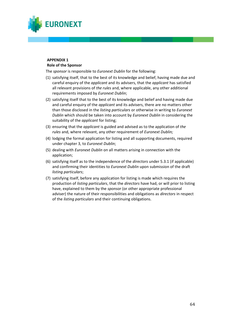

#### **APPENDIX 1 Role of the Sponsor**

The *sponsor* is responsible to *Euronext Dublin* for the following:

- (1) satisfying itself, that to the best of its knowledge and belief, having made due and careful enquiry of the *applicant* and its advisers, that the *applicant* has satisfied all relevant provisions of *the rules* and, where applicable, any other additional requirements imposed by *Euronext Dublin*;
- (2) satisfying itself that to the best of its knowledge and belief and having made due and careful enquiry of the *applicant* and its advisers, there are no matters other than those disclosed in the *listing particulars* or otherwise in writing to *Euronext Dublin* which should be taken into account by *Euronext Dublin* in considering the suitability of the *applicant* for listing;
- (3) ensuring that the *applicant* is guided and advised as to the application of *the rules* and, where relevant, any other requirement of *Euronext Dublin;*
- (4) lodging the formal application for listing and all supporting documents, required under chapter 3, to *Euronext Dublin*;
- (5) dealing with *Euronext Dublin* on all matters arising in connection with the application;
- (6) satisfying itself as to the independence of the *directors* under 5.3.1 (if applicable) and confirming their identities to *Euronext Dublin* upon submission of the draft *listing particulars*;
- (7) satisfying itself, before any application for listing is made which requires the production of *listing particulars*, that the *directors* have had, or will prior to listing have, explained to them by the *sponsor* (or other appropriate professional adviser) the nature of their responsibilities and obligations as *directors* in respect of the *listing particulars* and their continuing obligations.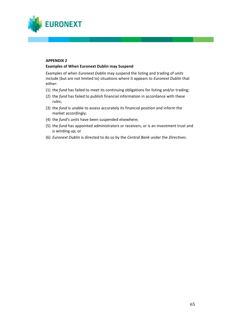

## **APPENDIX 2**

### **Examples of When Euronext Dublin may Suspend**

Examples of when *Euronext Dublin* may suspend the listing and trading of *units* include (but are not limited to) situations where it appears to *Euronext Dublin* that either:

- (1) the *fund* has failed to meet its continuing obligations for listing and/or trading;
- (2) the *fund* has failed to publish financial information in accordance with these *rules*;
- (3) the *fund* is unable to assess accurately its financial position and inform the market accordingly;
- (4) the *fund's units* have been suspended elsewhere;
- (5) the *fund* has appointed administrators or receivers, or is an investment trust and is winding up; or
- (6) *Euronext Dublin* is directed to do so by the *Central Bank* under the *Directives*.